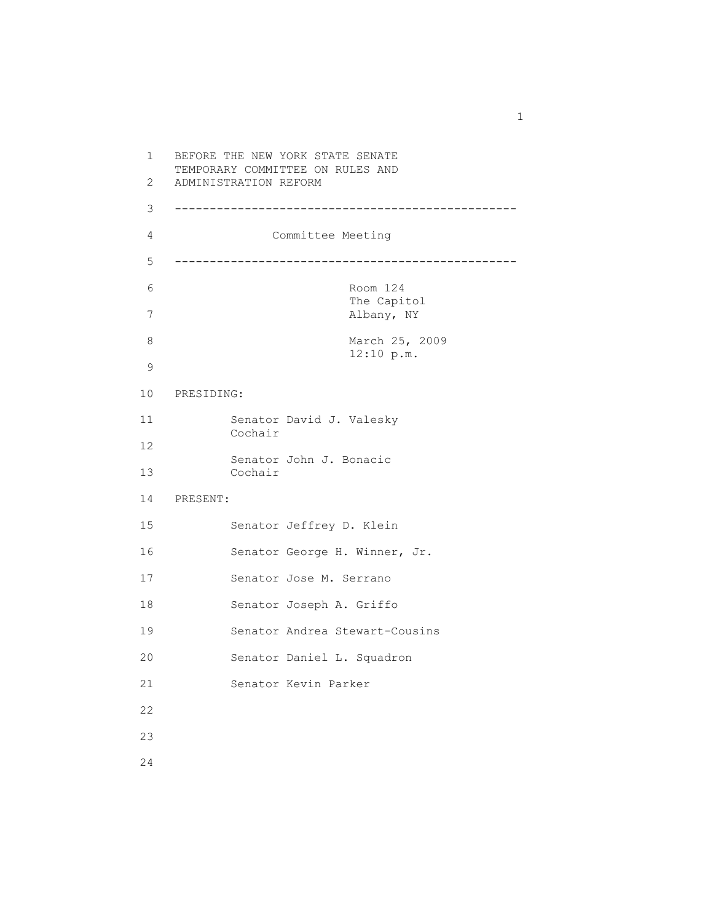1 BEFORE THE NEW YORK STATE SENATE TEMPORARY COMMITTEE ON RULES AND 2 ADMINISTRATION REFORM 3 ------------------------------------------------- 4 Committee Meeting 5 ------------------------------------------------- 6 Room 124 The Capitol 7 Albany, NY 8 March 25, 2009 12:10 p.m. 9 10 PRESIDING: 11 Senator David J. Valesky Cochair 12 Senator John J. Bonacic 13 Cochair 14 PRESENT: 15 Senator Jeffrey D. Klein 16 Senator George H. Winner, Jr. 17 Senator Jose M. Serrano 18 Senator Joseph A. Griffo 19 Senator Andrea Stewart-Cousins 20 Senator Daniel L. Squadron 21 Senator Kevin Parker 22 23

1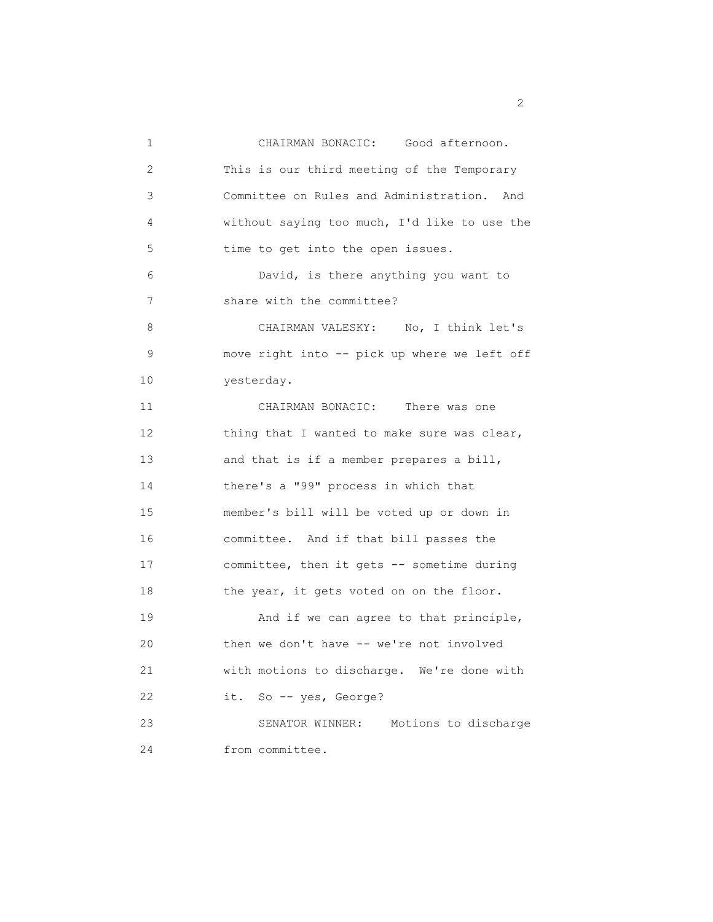1 CHAIRMAN BONACIC: Good afternoon. 2 This is our third meeting of the Temporary 3 Committee on Rules and Administration. And 4 without saying too much, I'd like to use the 5 time to get into the open issues. 6 David, is there anything you want to 7 share with the committee? 8 CHAIRMAN VALESKY: No, I think let's 9 move right into -- pick up where we left off 10 yesterday. 11 CHAIRMAN BONACIC: There was one 12 thing that I wanted to make sure was clear, 13 and that is if a member prepares a bill, 14 there's a "99" process in which that 15 member's bill will be voted up or down in 16 committee. And if that bill passes the 17 committee, then it gets -- sometime during 18 the year, it gets voted on on the floor. 19 And if we can agree to that principle, 20 then we don't have -- we're not involved 21 with motions to discharge. We're done with 22 it. So -- yes, George? 23 SENATOR WINNER: Motions to discharge 24 from committee.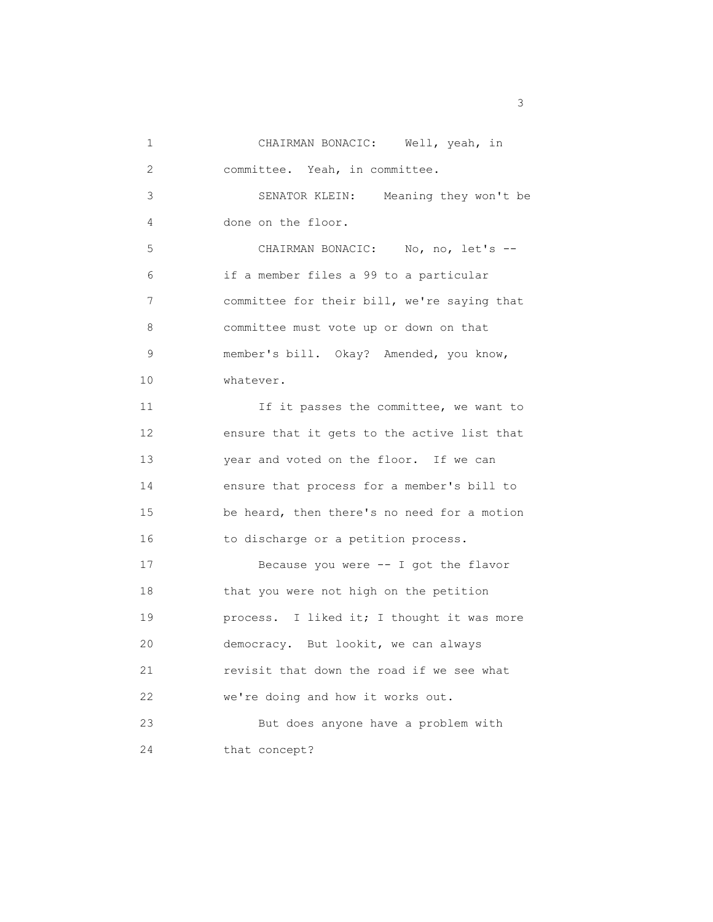1 CHAIRMAN BONACIC: Well, yeah, in 2 committee. Yeah, in committee. 3 SENATOR KLEIN: Meaning they won't be 4 done on the floor. 5 CHAIRMAN BONACIC: No, no, let's -- 6 if a member files a 99 to a particular 7 committee for their bill, we're saying that 8 committee must vote up or down on that 9 member's bill. Okay? Amended, you know, 10 whatever. 11 **If it passes the committee, we want to**  12 ensure that it gets to the active list that 13 year and voted on the floor. If we can 14 ensure that process for a member's bill to 15 be heard, then there's no need for a motion 16 to discharge or a petition process. 17 Because you were -- I got the flavor 18 that you were not high on the petition 19 **process.** I liked it; I thought it was more 20 democracy. But lookit, we can always 21 revisit that down the road if we see what 22 we're doing and how it works out. 23 But does anyone have a problem with 24 that concept?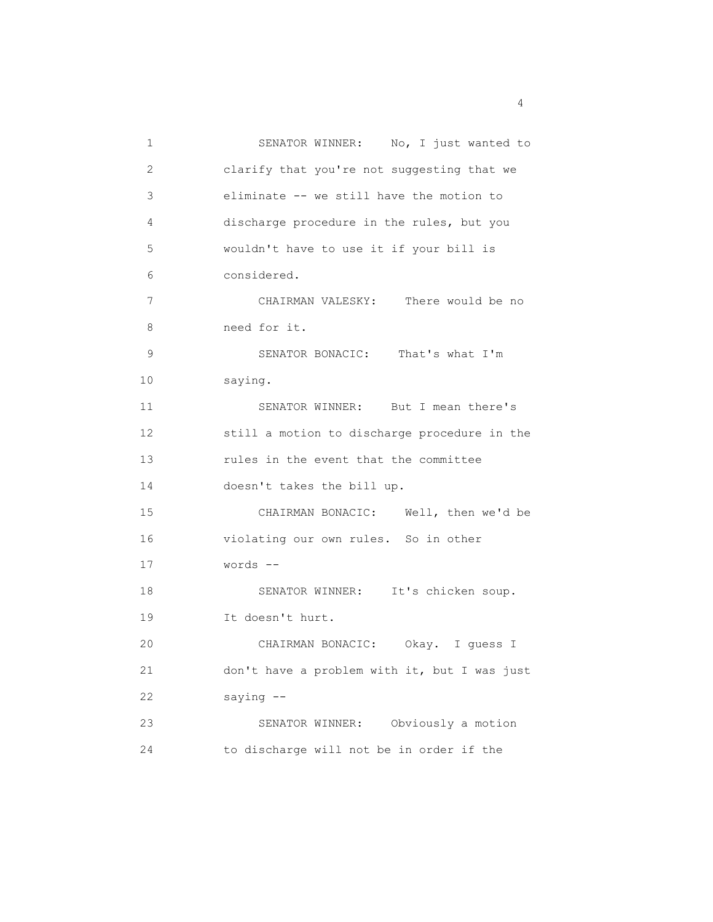1 SENATOR WINNER: No, I just wanted to 2 clarify that you're not suggesting that we 3 eliminate -- we still have the motion to 4 discharge procedure in the rules, but you 5 wouldn't have to use it if your bill is 6 considered. 7 CHAIRMAN VALESKY: There would be no 8 need for it. 9 SENATOR BONACIC: That's what I'm 10 saying. 11 SENATOR WINNER: But I mean there's 12 still a motion to discharge procedure in the 13 rules in the event that the committee 14 doesn't takes the bill up. 15 CHAIRMAN BONACIC: Well, then we'd be 16 violating our own rules. So in other 17 words -- 18 SENATOR WINNER: It's chicken soup. 19 It doesn't hurt. 20 CHAIRMAN BONACIC: Okay. I guess I 21 don't have a problem with it, but I was just 22 saying -- 23 SENATOR WINNER: Obviously a motion 24 to discharge will not be in order if the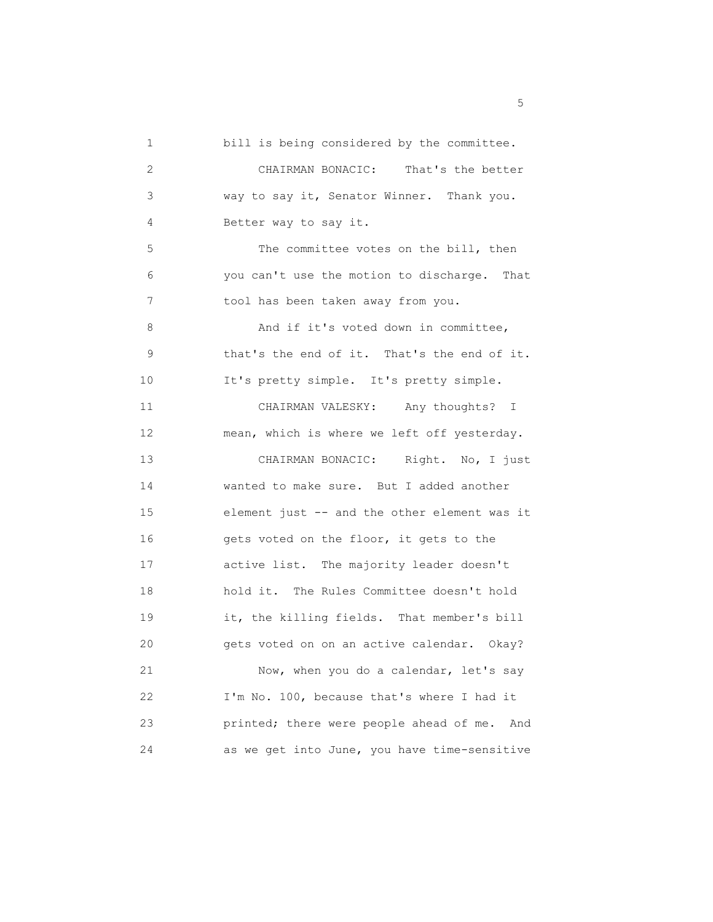1 bill is being considered by the committee. 2 CHAIRMAN BONACIC: That's the better 3 way to say it, Senator Winner. Thank you. 4 Better way to say it. 5 The committee votes on the bill, then 6 you can't use the motion to discharge. That 7 tool has been taken away from you. 8 And if it's voted down in committee, 9 that's the end of it. That's the end of it. 10 It's pretty simple. It's pretty simple. 11 CHAIRMAN VALESKY: Any thoughts? I 12 mean, which is where we left off yesterday. 13 CHAIRMAN BONACIC: Right. No, I just 14 wanted to make sure. But I added another 15 element just -- and the other element was it 16 gets voted on the floor, it gets to the 17 active list. The majority leader doesn't 18 hold it. The Rules Committee doesn't hold 19 it, the killing fields. That member's bill 20 gets voted on on an active calendar. Okay? 21 Now, when you do a calendar, let's say 22 I'm No. 100, because that's where I had it 23 printed; there were people ahead of me. And 24 as we get into June, you have time-sensitive

<u>5</u>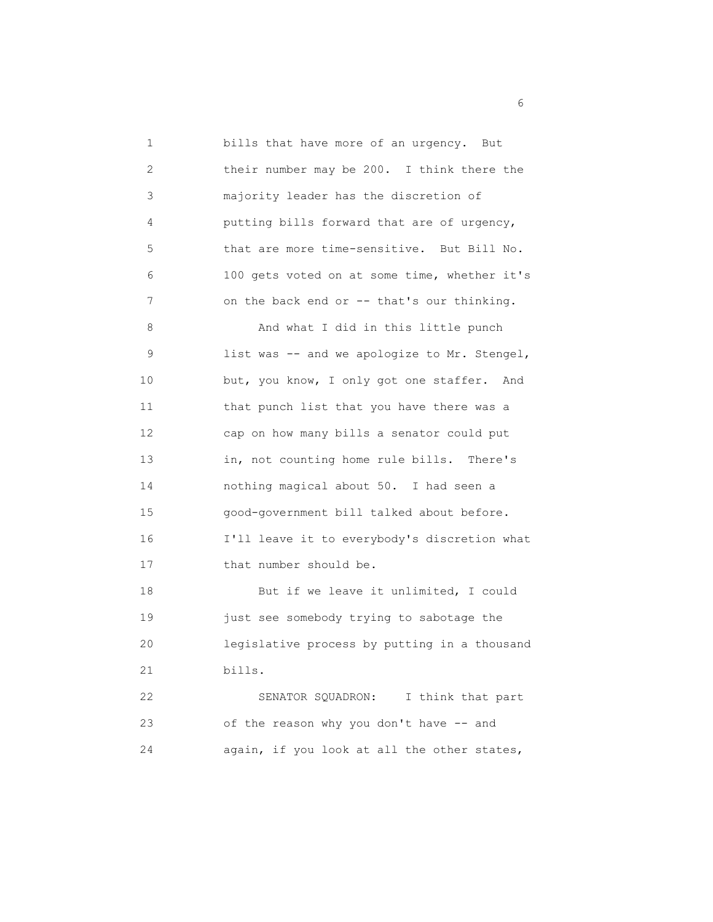1 bills that have more of an urgency. But 2 their number may be 200. I think there the 3 majority leader has the discretion of 4 putting bills forward that are of urgency, 5 that are more time-sensitive. But Bill No. 6 100 gets voted on at some time, whether it's 7 on the back end or -- that's our thinking. 8 And what I did in this little punch 9 list was -- and we apologize to Mr. Stengel, 10 but, you know, I only got one staffer. And 11 that punch list that you have there was a 12 cap on how many bills a senator could put 13 in, not counting home rule bills. There's 14 nothing magical about 50. I had seen a 15 good-government bill talked about before. 16 I'll leave it to everybody's discretion what 17 that number should be. 18 But if we leave it unlimited, I could 19 just see somebody trying to sabotage the 20 legislative process by putting in a thousand 21 bills. 22 SENATOR SQUADRON: I think that part 23 of the reason why you don't have -- and 24 again, if you look at all the other states,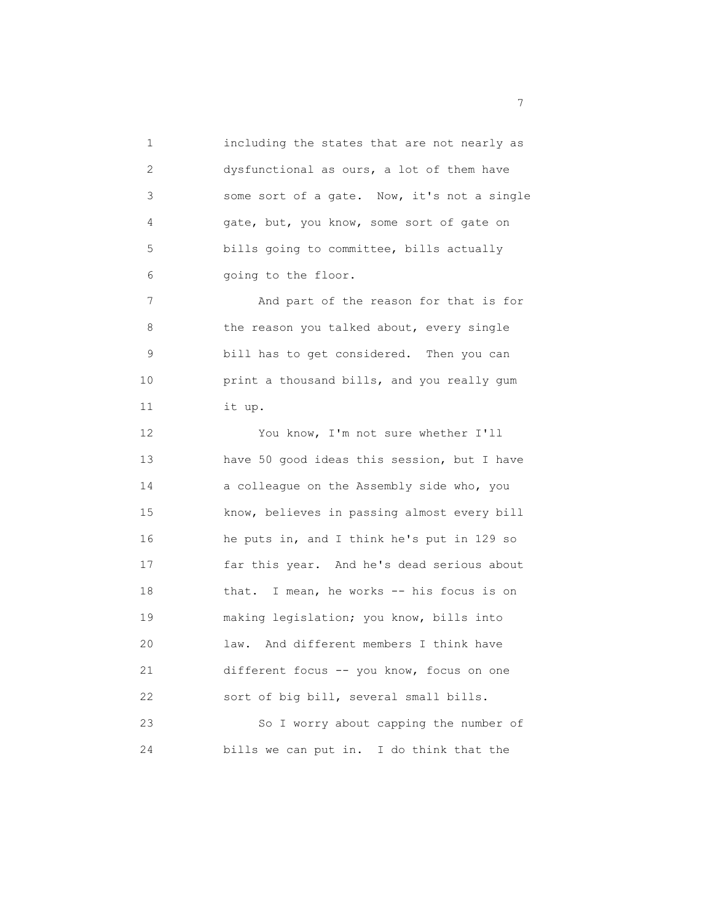1 including the states that are not nearly as 2 dysfunctional as ours, a lot of them have 3 some sort of a gate. Now, it's not a single 4 gate, but, you know, some sort of gate on 5 bills going to committee, bills actually 6 going to the floor.

7 And part of the reason for that is for 8 the reason you talked about, every single 9 bill has to get considered. Then you can 10 print a thousand bills, and you really gum 11 it up.

 12 You know, I'm not sure whether I'll 13 have 50 good ideas this session, but I have 14 **a** colleague on the Assembly side who, you 15 know, believes in passing almost every bill 16 he puts in, and I think he's put in 129 so 17 far this year. And he's dead serious about 18 that. I mean, he works -- his focus is on 19 making legislation; you know, bills into 20 law. And different members I think have 21 different focus -- you know, focus on one 22 sort of big bill, several small bills. 23 So I worry about capping the number of 24 bills we can put in. I do think that the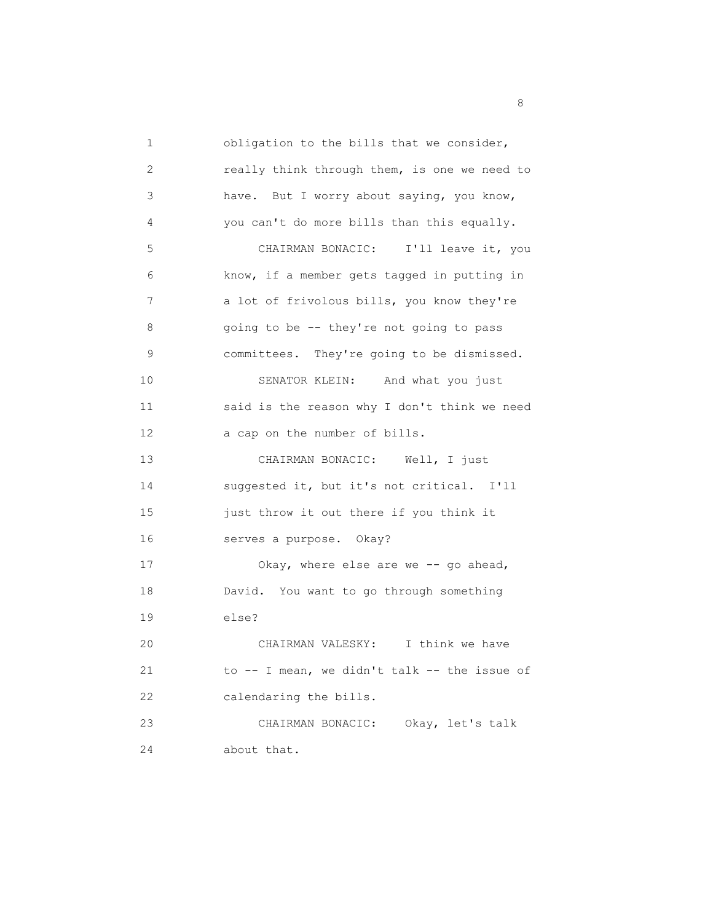1 obligation to the bills that we consider, 2 really think through them, is one we need to 3 have. But I worry about saying, you know, 4 you can't do more bills than this equally. 5 CHAIRMAN BONACIC: I'll leave it, you 6 know, if a member gets tagged in putting in 7 a lot of frivolous bills, you know they're 8 going to be -- they're not going to pass 9 committees. They're going to be dismissed. 10 SENATOR KLEIN: And what you just 11 said is the reason why I don't think we need 12 a cap on the number of bills. 13 CHAIRMAN BONACIC: Well, I just 14 suggested it, but it's not critical. I'll 15 just throw it out there if you think it 16 serves a purpose. Okay? 17 Okay, where else are we -- go ahead, 18 David. You want to go through something 19 else? 20 CHAIRMAN VALESKY: I think we have 21 to -- I mean, we didn't talk -- the issue of 22 calendaring the bills. 23 CHAIRMAN BONACIC: Okay, let's talk 24 about that.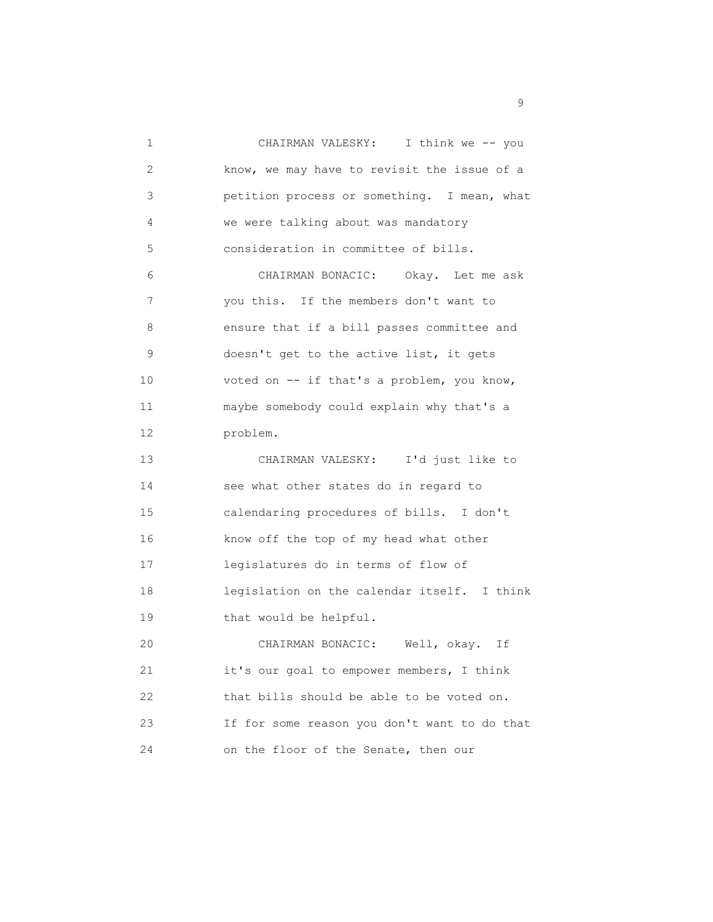1 CHAIRMAN VALESKY: I think we -- you 2 know, we may have to revisit the issue of a 3 petition process or something. I mean, what 4 we were talking about was mandatory 5 consideration in committee of bills. 6 CHAIRMAN BONACIC: Okay. Let me ask 7 you this. If the members don't want to 8 ensure that if a bill passes committee and 9 doesn't get to the active list, it gets 10 voted on -- if that's a problem, you know, 11 maybe somebody could explain why that's a 12 problem. 13 CHAIRMAN VALESKY: I'd just like to 14 see what other states do in regard to 15 calendaring procedures of bills. I don't 16 know off the top of my head what other 17 legislatures do in terms of flow of 18 legislation on the calendar itself. I think 19 that would be helpful. 20 CHAIRMAN BONACIC: Well, okay. If 21 it's our goal to empower members, I think 22 that bills should be able to be voted on. 23 If for some reason you don't want to do that 24 on the floor of the Senate, then our

en de la construction de la construction de la construction de la construction de la construction de la constr<br>1990 : la construction de la construction de la construction de la construction de la construction de la const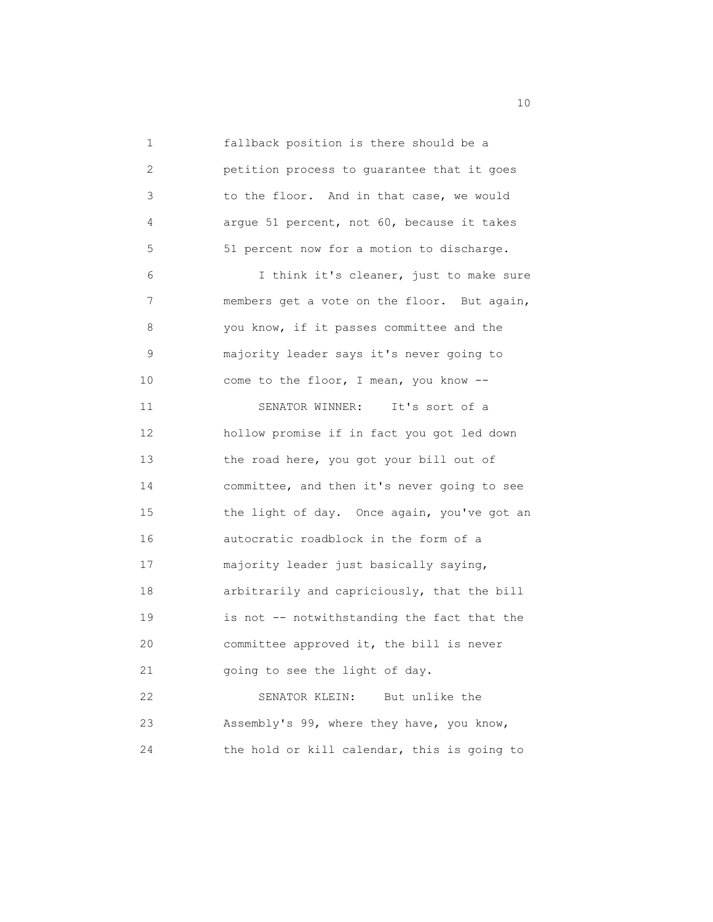1 fallback position is there should be a 2 petition process to guarantee that it goes 3 to the floor. And in that case, we would 4 argue 51 percent, not 60, because it takes 5 51 percent now for a motion to discharge. 6 I think it's cleaner, just to make sure 7 members get a vote on the floor. But again, 8 you know, if it passes committee and the 9 majority leader says it's never going to 10 come to the floor, I mean, you know -- 11 SENATOR WINNER: It's sort of a 12 hollow promise if in fact you got led down 13 the road here, you got your bill out of 14 committee, and then it's never going to see 15 the light of day. Once again, you've got an 16 autocratic roadblock in the form of a 17 majority leader just basically saying, 18 arbitrarily and capriciously, that the bill 19 is not -- notwithstanding the fact that the 20 committee approved it, the bill is never 21 going to see the light of day. 22 SENATOR KLEIN: But unlike the 23 Assembly's 99, where they have, you know, 24 the hold or kill calendar, this is going to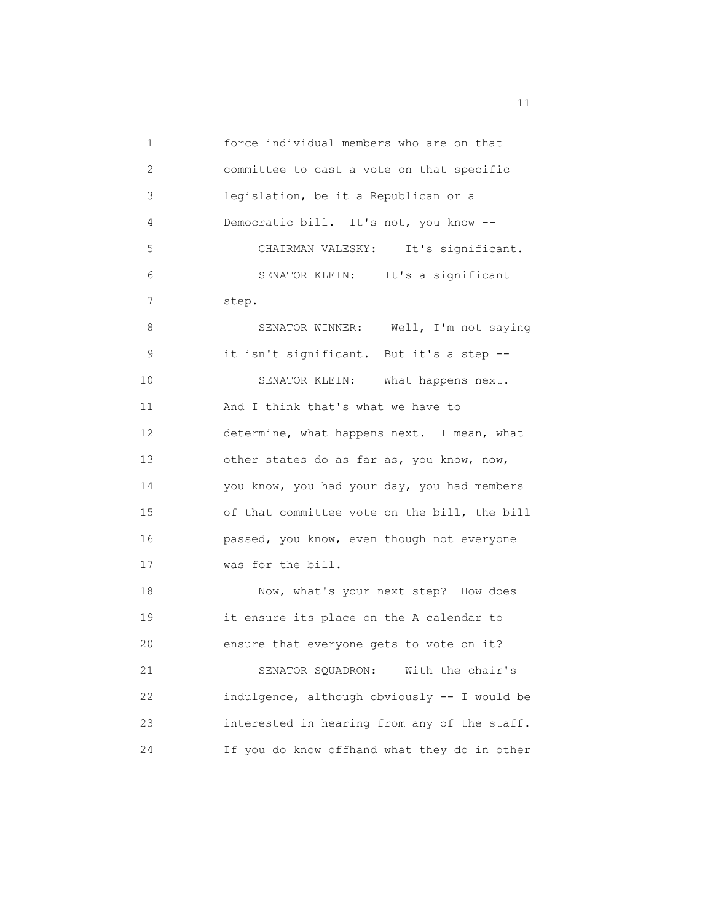1 force individual members who are on that 2 committee to cast a vote on that specific 3 legislation, be it a Republican or a 4 Democratic bill. It's not, you know -- 5 CHAIRMAN VALESKY: It's significant. 6 SENATOR KLEIN: It's a significant 7 step. 8 SENATOR WINNER: Well, I'm not saying 9 it isn't significant. But it's a step -- 10 SENATOR KLEIN: What happens next. 11 And I think that's what we have to 12 determine, what happens next. I mean, what 13 other states do as far as, you know, now, 14 you know, you had your day, you had members 15 of that committee vote on the bill, the bill 16 passed, you know, even though not everyone 17 was for the bill. 18 Now, what's your next step? How does 19 it ensure its place on the A calendar to 20 ensure that everyone gets to vote on it? 21 SENATOR SQUADRON: With the chair's 22 indulgence, although obviously -- I would be 23 interested in hearing from any of the staff. 24 If you do know offhand what they do in other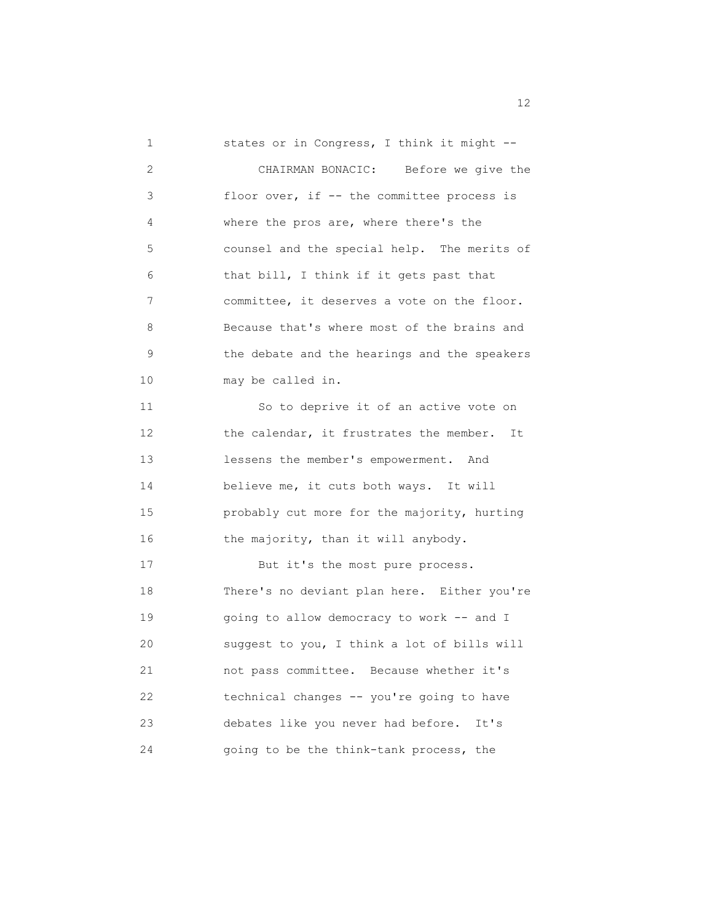1 states or in Congress, I think it might -- 2 CHAIRMAN BONACIC: Before we give the 3 floor over, if -- the committee process is 4 where the pros are, where there's the 5 counsel and the special help. The merits of 6 that bill, I think if it gets past that 7 committee, it deserves a vote on the floor. 8 Because that's where most of the brains and 9 the debate and the hearings and the speakers 10 may be called in. 11 So to deprive it of an active vote on 12 the calendar, it frustrates the member. It 13 lessens the member's empowerment. And 14 believe me, it cuts both ways. It will 15 probably cut more for the majority, hurting 16 the majority, than it will anybody. 17 But it's the most pure process. 18 There's no deviant plan here. Either you're 19 going to allow democracy to work -- and I 20 suggest to you, I think a lot of bills will 21 not pass committee. Because whether it's 22 technical changes -- you're going to have 23 debates like you never had before. It's 24 going to be the think-tank process, the

12 and 12 and 12 and 12 and 12 and 12 and 12 and 12 and 12 and 12 and 12 and 12 and 12 and 12 and 12 and 12 and 12 and 12 and 12 and 12 and 12 and 12 and 12 and 12 and 12 and 12 and 12 and 12 and 12 and 12 and 12 and 12 an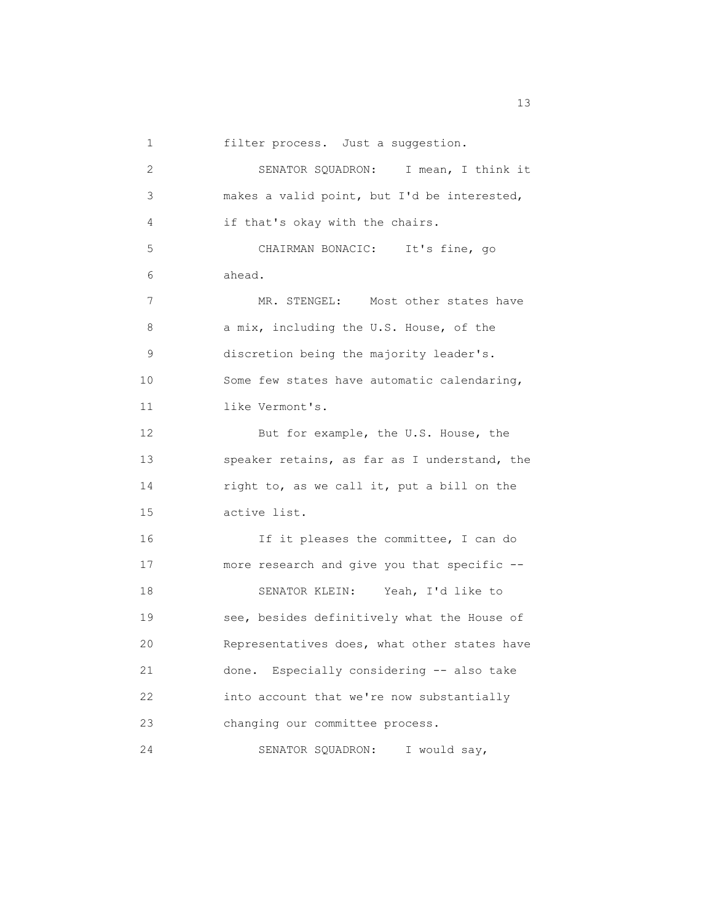1 filter process. Just a suggestion.

 2 SENATOR SQUADRON: I mean, I think it 3 makes a valid point, but I'd be interested, 4 if that's okay with the chairs. 5 CHAIRMAN BONACIC: It's fine, go 6 ahead. 7 MR. STENGEL: Most other states have 8 a mix, including the U.S. House, of the 9 discretion being the majority leader's. 10 Some few states have automatic calendaring, 11 like Vermont's. 12 But for example, the U.S. House, the 13 speaker retains, as far as I understand, the 14 right to, as we call it, put a bill on the 15 active list. 16 If it pleases the committee, I can do 17 more research and give you that specific -- 18 SENATOR KLEIN: Yeah, I'd like to 19 see, besides definitively what the House of 20 Representatives does, what other states have 21 done. Especially considering -- also take 22 into account that we're now substantially 23 changing our committee process. 24 SENATOR SQUADRON: I would say,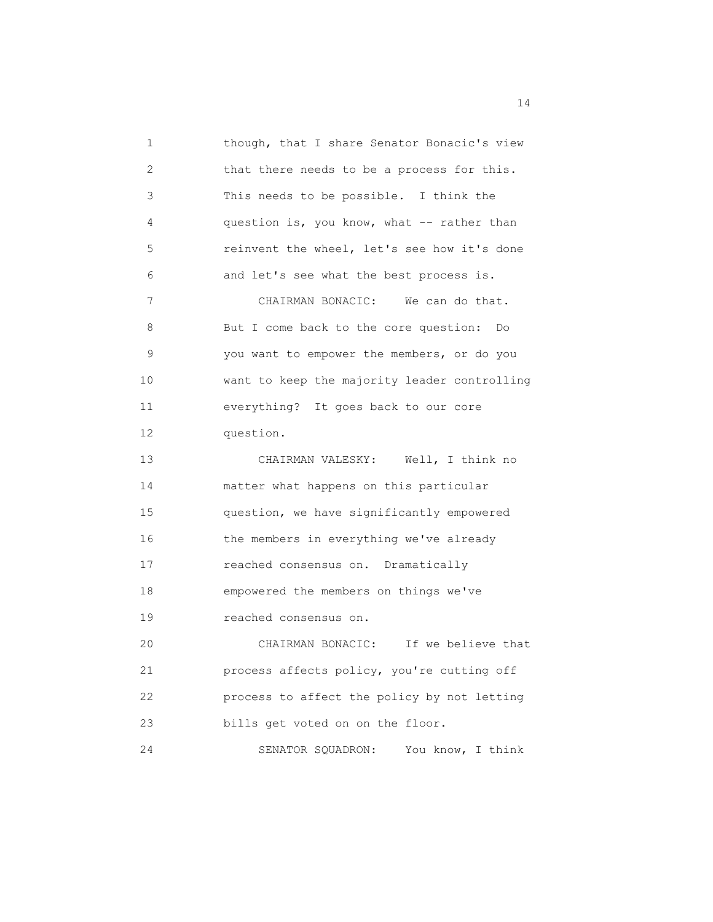1 though, that I share Senator Bonacic's view 2 that there needs to be a process for this. 3 This needs to be possible. I think the 4 question is, you know, what -- rather than 5 reinvent the wheel, let's see how it's done 6 and let's see what the best process is. 7 CHAIRMAN BONACIC: We can do that. 8 But I come back to the core question: Do 9 you want to empower the members, or do you 10 want to keep the majority leader controlling 11 everything? It goes back to our core 12 question. 13 CHAIRMAN VALESKY: Well, I think no 14 matter what happens on this particular 15 question, we have significantly empowered 16 the members in everything we've already 17 reached consensus on. Dramatically 18 empowered the members on things we've 19 reached consensus on. 20 CHAIRMAN BONACIC: If we believe that 21 process affects policy, you're cutting off 22 process to affect the policy by not letting 23 bills get voted on on the floor. 24 SENATOR SQUADRON: You know, I think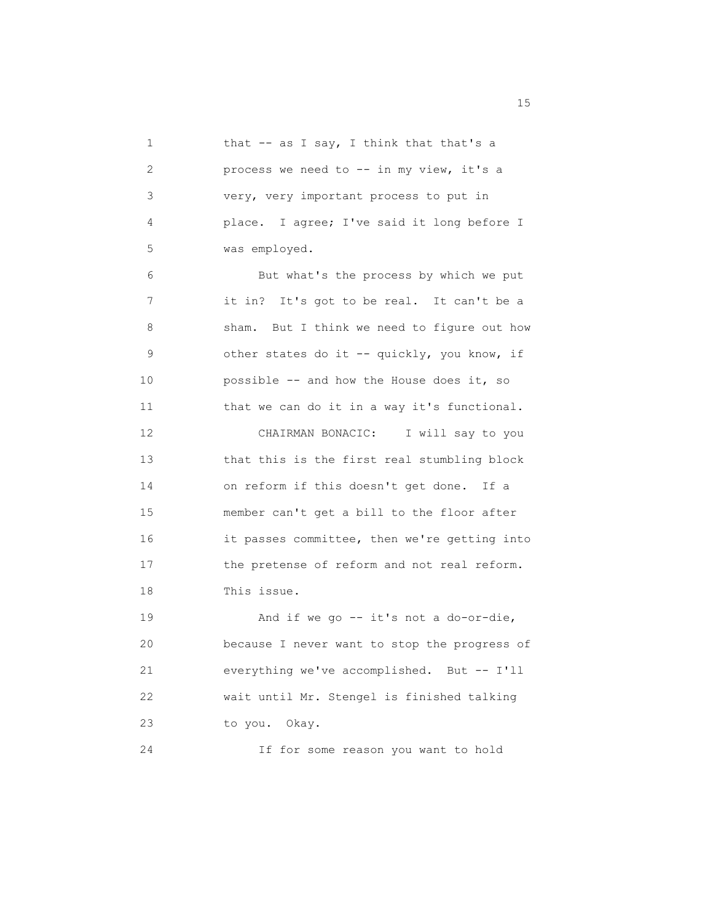1 that -- as I say, I think that that's a 2 process we need to -- in my view, it's a 3 very, very important process to put in 4 place. I agree; I've said it long before I 5 was employed. 6 But what's the process by which we put 7 it in? It's got to be real. It can't be a 8 sham. But I think we need to figure out how 9 other states do it -- quickly, you know, if 10 possible -- and how the House does it, so 11 that we can do it in a way it's functional. 12 CHAIRMAN BONACIC: I will say to you 13 that this is the first real stumbling block 14 on reform if this doesn't get done. If a 15 member can't get a bill to the floor after 16 it passes committee, then we're getting into 17 the pretense of reform and not real reform. 18 This issue. 19 And if we go -- it's not a do-or-die, 20 because I never want to stop the progress of 21 everything we've accomplished. But -- I'll 22 wait until Mr. Stengel is finished talking 23 to you. Okay. 24 If for some reason you want to hold

15 and 15 and 15 and 15 and 15 and 15 and 15 and 15 and 15 and 15 and 15 and 15 and 15 and 15 and 15 and 15 and 16 and 16 and 16 and 16 and 16 and 16 and 16 and 16 and 16 and 16 and 16 and 16 and 16 and 16 and 16 and 16 an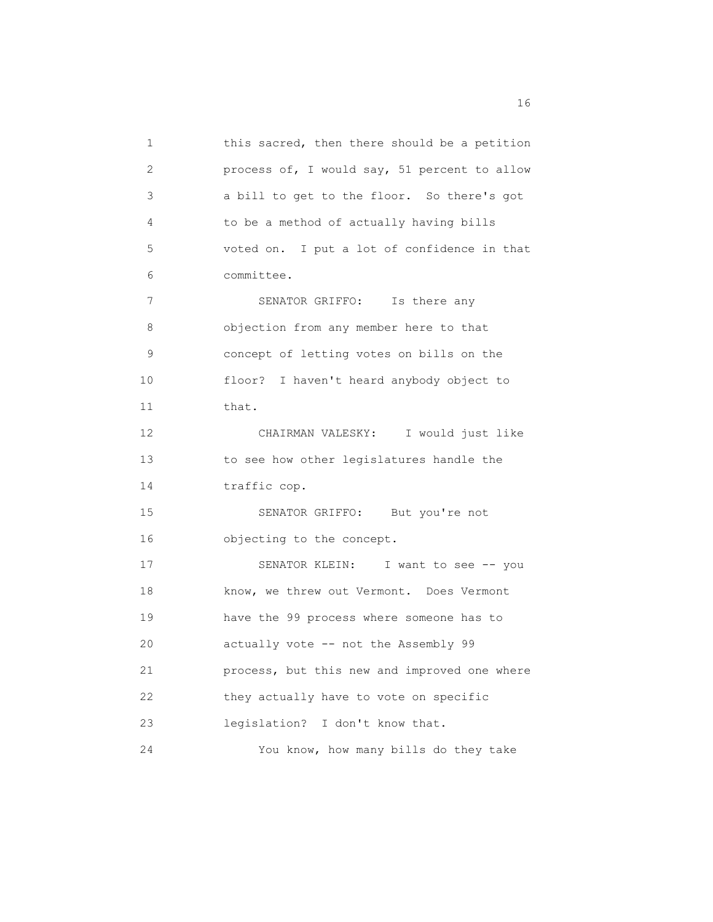1 this sacred, then there should be a petition 2 process of, I would say, 51 percent to allow 3 a bill to get to the floor. So there's got 4 to be a method of actually having bills 5 voted on. I put a lot of confidence in that 6 committee. 7 SENATOR GRIFFO: Is there any 8 objection from any member here to that 9 concept of letting votes on bills on the 10 floor? I haven't heard anybody object to 11 that. 12 CHAIRMAN VALESKY: I would just like 13 to see how other legislatures handle the 14 traffic cop. 15 SENATOR GRIFFO: But you're not 16 objecting to the concept. 17 SENATOR KLEIN: I want to see -- you 18 know, we threw out Vermont. Does Vermont 19 have the 99 process where someone has to 20 actually vote -- not the Assembly 99 21 process, but this new and improved one where 22 they actually have to vote on specific 23 legislation? I don't know that. 24 You know, how many bills do they take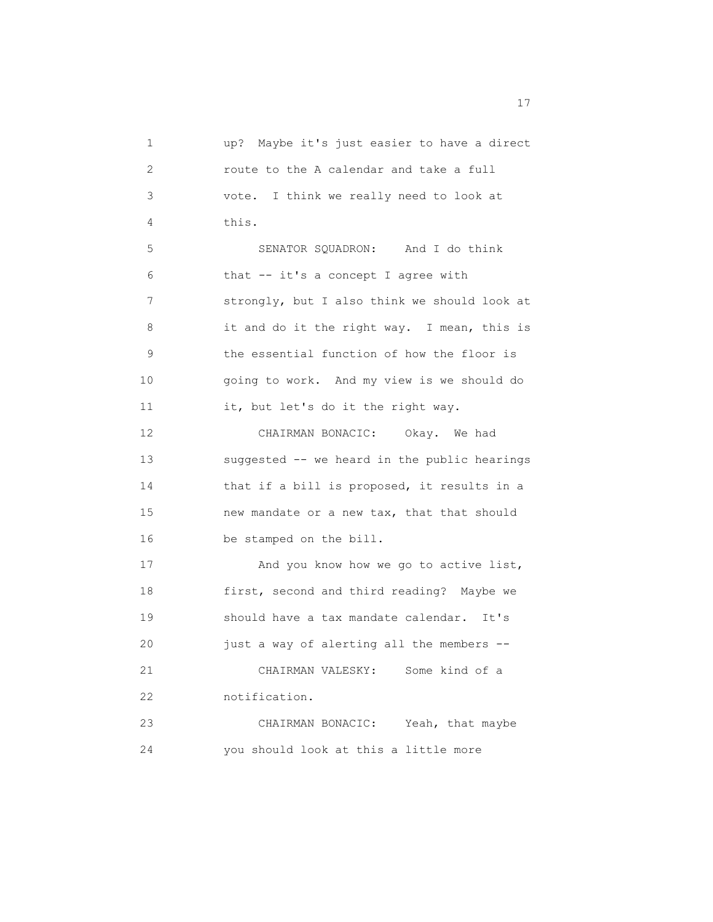1 up? Maybe it's just easier to have a direct 2 route to the A calendar and take a full 3 vote. I think we really need to look at 4 this. 5 SENATOR SQUADRON: And I do think 6 that -- it's a concept I agree with 7 strongly, but I also think we should look at 8 it and do it the right way. I mean, this is 9 the essential function of how the floor is 10 going to work. And my view is we should do 11 it, but let's do it the right way. 12 CHAIRMAN BONACIC: Okay. We had 13 suggested -- we heard in the public hearings 14 that if a bill is proposed, it results in a 15 new mandate or a new tax, that that should 16 be stamped on the bill. 17 And you know how we go to active list, 18 first, second and third reading? Maybe we 19 should have a tax mandate calendar. It's 20 just a way of alerting all the members -- 21 CHAIRMAN VALESKY: Some kind of a 22 notification. 23 CHAIRMAN BONACIC: Yeah, that maybe 24 you should look at this a little more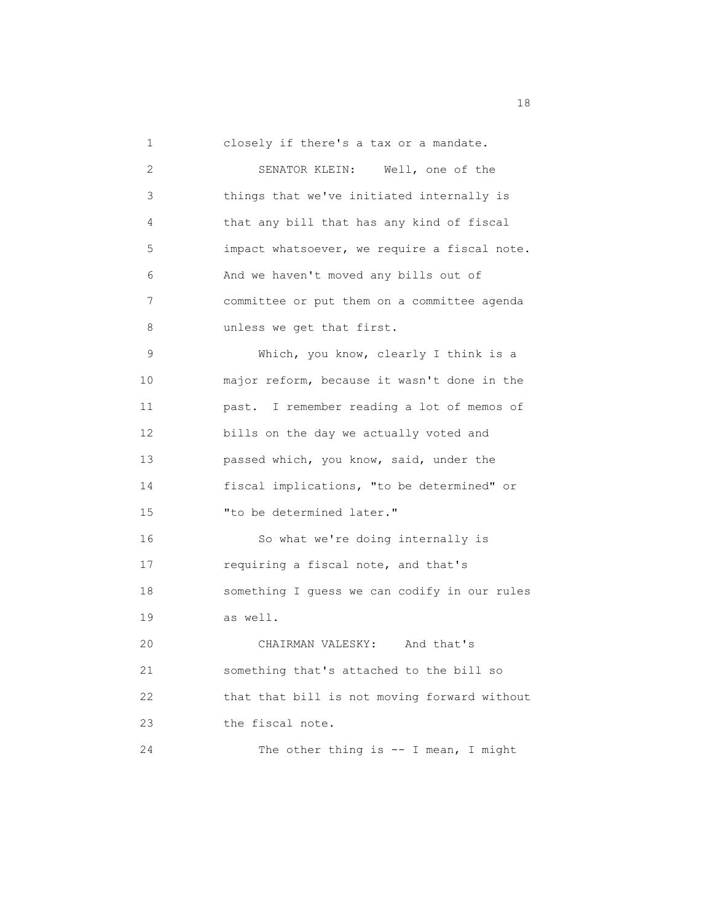1 closely if there's a tax or a mandate.

| 2  | SENATOR KLEIN: Well, one of the              |
|----|----------------------------------------------|
| 3  | things that we've initiated internally is    |
| 4  | that any bill that has any kind of fiscal    |
| 5  | impact whatsoever, we require a fiscal note. |
| 6  | And we haven't moved any bills out of        |
| 7  | committee or put them on a committee agenda  |
| 8  | unless we get that first.                    |
| 9  | Which, you know, clearly I think is a        |
| 10 | major reform, because it wasn't done in the  |
| 11 | past. I remember reading a lot of memos of   |
| 12 | bills on the day we actually voted and       |
| 13 | passed which, you know, said, under the      |
| 14 | fiscal implications, "to be determined" or   |
| 15 | "to be determined later."                    |
| 16 | So what we're doing internally is            |
| 17 | requiring a fiscal note, and that's          |
| 18 | something I guess we can codify in our rules |
| 19 | as well.                                     |
| 20 | CHAIRMAN VALESKY: And that's                 |
| 21 | something that's attached to the bill so     |
| 22 | that that bill is not moving forward without |
| 23 | the fiscal note.                             |
| 24 | The other thing is $--$ I mean, I might      |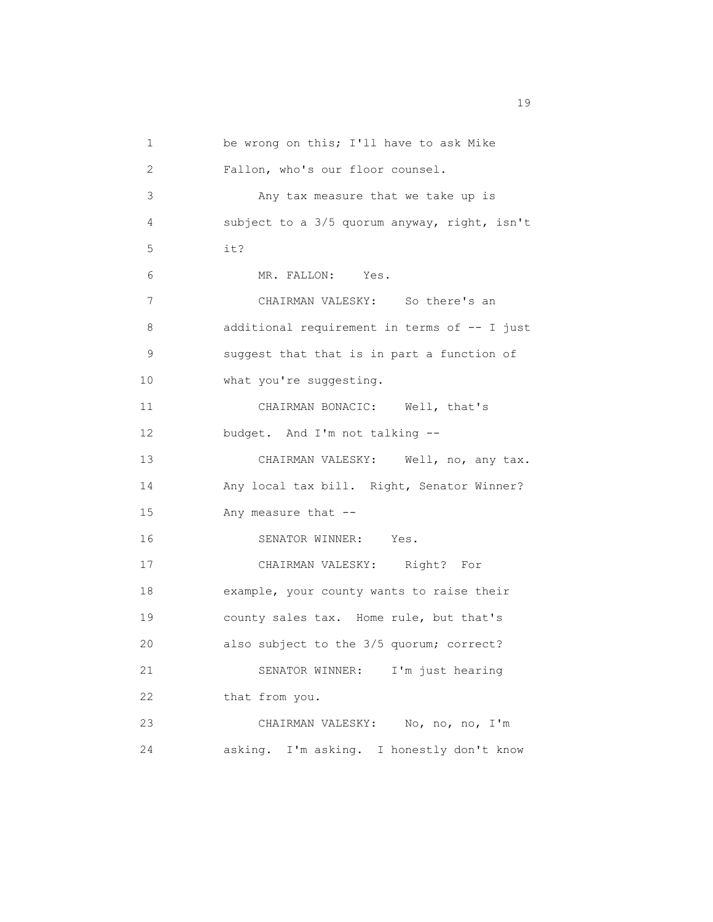1 be wrong on this; I'll have to ask Mike 2 Fallon, who's our floor counsel. 3 Any tax measure that we take up is 4 subject to a 3/5 quorum anyway, right, isn't 5 it? 6 MR. FALLON: Yes. 7 CHAIRMAN VALESKY: So there's an 8 additional requirement in terms of -- I just 9 suggest that that is in part a function of 10 what you're suggesting. 11 CHAIRMAN BONACIC: Well, that's 12 budget. And I'm not talking -- 13 CHAIRMAN VALESKY: Well, no, any tax. 14 Any local tax bill. Right, Senator Winner? 15 Any measure that -- 16 SENATOR WINNER: Yes. 17 CHAIRMAN VALESKY: Right? For 18 example, your county wants to raise their 19 county sales tax. Home rule, but that's 20 also subject to the 3/5 quorum; correct? 21 SENATOR WINNER: I'm just hearing 22 that from you. 23 CHAIRMAN VALESKY: No, no, no, I'm 24 asking. I'm asking. I honestly don't know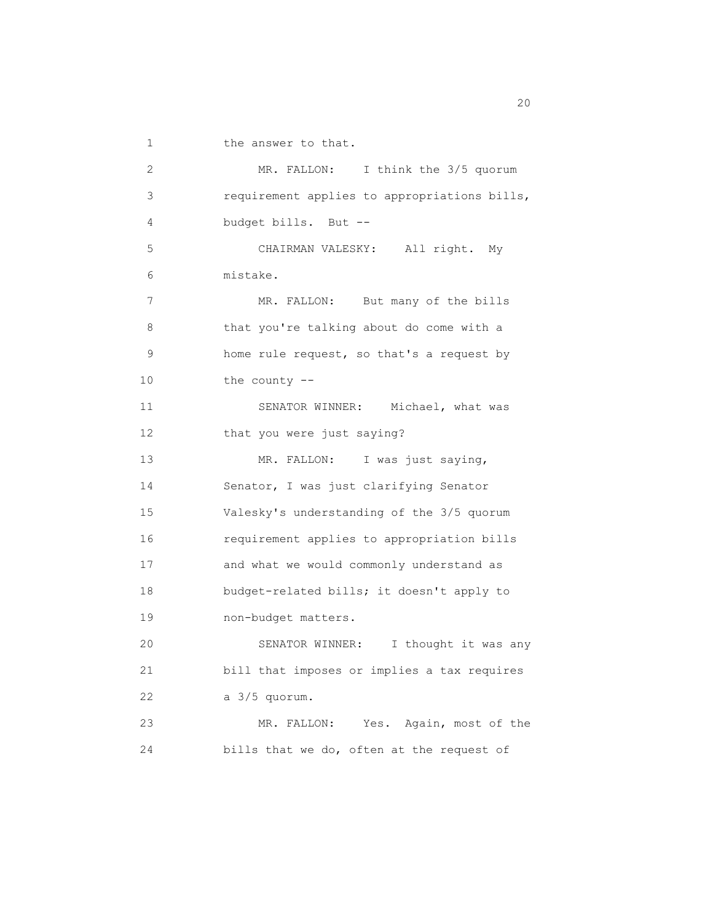1 the answer to that.

 2 MR. FALLON: I think the 3/5 quorum 3 requirement applies to appropriations bills, 4 budget bills. But -- 5 CHAIRMAN VALESKY: All right. My 6 mistake. 7 MR. FALLON: But many of the bills 8 that you're talking about do come with a 9 home rule request, so that's a request by 10 the county -- 11 SENATOR WINNER: Michael, what was 12 that you were just saying? 13 MR. FALLON: I was just saying, 14 Senator, I was just clarifying Senator 15 Valesky's understanding of the 3/5 quorum 16 requirement applies to appropriation bills 17 and what we would commonly understand as 18 budget-related bills; it doesn't apply to 19 non-budget matters. 20 SENATOR WINNER: I thought it was any 21 bill that imposes or implies a tax requires 22 a 3/5 quorum. 23 MR. FALLON: Yes. Again, most of the 24 bills that we do, often at the request of

zo al control de la control de la control de la control de la control de la control de la control de la control de la control de la control de la control de la control de la control de la control de la control de la contro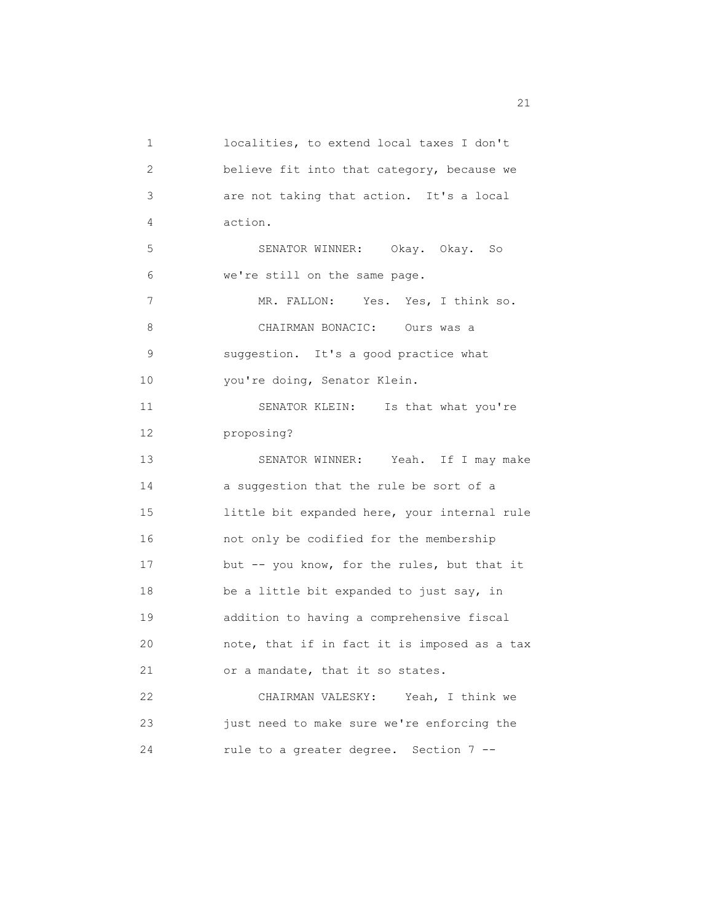1 localities, to extend local taxes I don't 2 believe fit into that category, because we 3 are not taking that action. It's a local 4 action. 5 SENATOR WINNER: Okay. Okay. So 6 we're still on the same page. 7 MR. FALLON: Yes. Yes, I think so. 8 CHAIRMAN BONACIC: Ours was a 9 suggestion. It's a good practice what 10 you're doing, Senator Klein. 11 SENATOR KLEIN: Is that what you're 12 proposing? 13 SENATOR WINNER: Yeah. If I may make 14 a suggestion that the rule be sort of a 15 little bit expanded here, your internal rule 16 not only be codified for the membership 17 but -- you know, for the rules, but that it 18 be a little bit expanded to just say, in 19 addition to having a comprehensive fiscal 20 note, that if in fact it is imposed as a tax 21 or a mandate, that it so states. 22 CHAIRMAN VALESKY: Yeah, I think we 23 just need to make sure we're enforcing the 24 rule to a greater degree. Section 7 --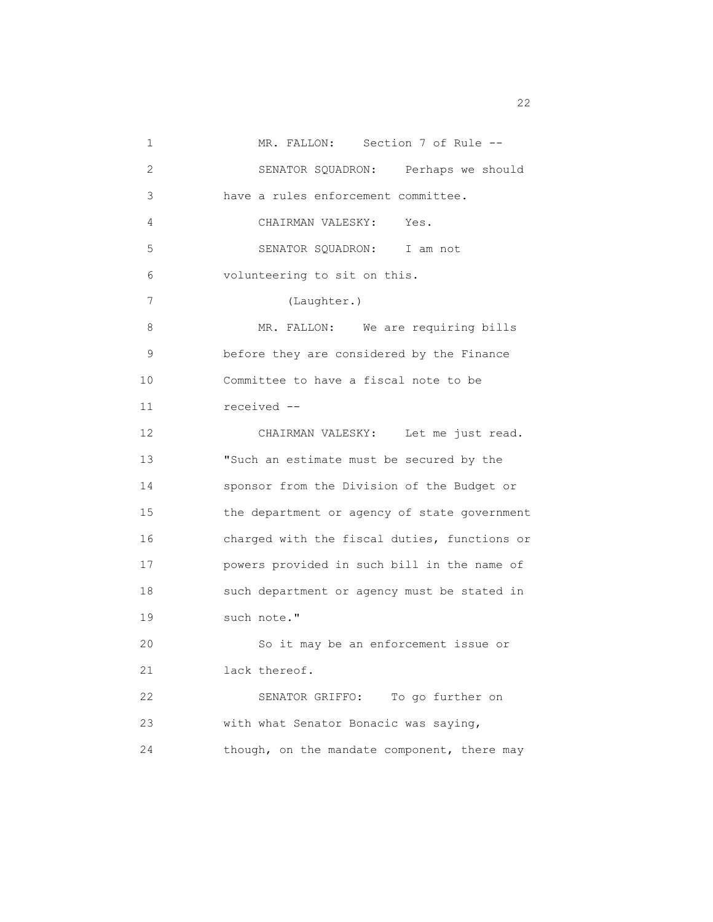1 MR. FALLON: Section 7 of Rule -- 2 SENATOR SQUADRON: Perhaps we should 3 have a rules enforcement committee. 4 CHAIRMAN VALESKY: Yes. 5 SENATOR SQUADRON: I am not 6 volunteering to sit on this. 7 (Laughter.) 8 MR. FALLON: We are requiring bills 9 before they are considered by the Finance 10 Committee to have a fiscal note to be 11 received -- 12 CHAIRMAN VALESKY: Let me just read. 13 "Such an estimate must be secured by the 14 sponsor from the Division of the Budget or 15 the department or agency of state government 16 charged with the fiscal duties, functions or 17 powers provided in such bill in the name of 18 such department or agency must be stated in 19 such note." 20 So it may be an enforcement issue or 21 lack thereof. 22 SENATOR GRIFFO: To go further on 23 with what Senator Bonacic was saying, 24 though, on the mandate component, there may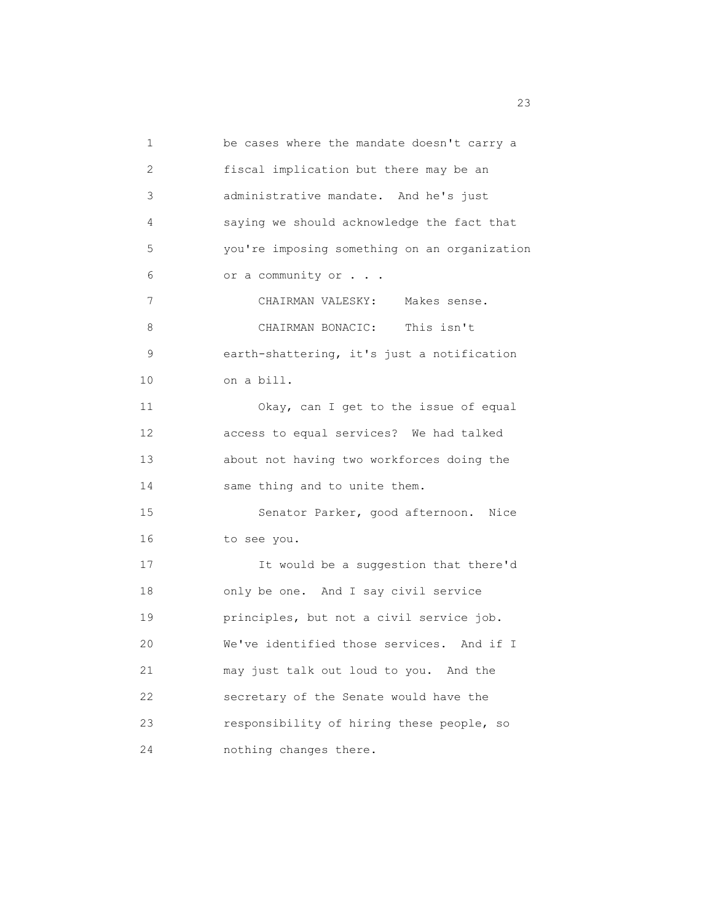1 be cases where the mandate doesn't carry a 2 fiscal implication but there may be an 3 administrative mandate. And he's just 4 saying we should acknowledge the fact that 5 you're imposing something on an organization 6 or a community or . . . 7 CHAIRMAN VALESKY: Makes sense. 8 CHAIRMAN BONACIC: This isn't 9 earth-shattering, it's just a notification 10 on a bill. 11 Okay, can I get to the issue of equal 12 access to equal services? We had talked 13 about not having two workforces doing the 14 same thing and to unite them. 15 Senator Parker, good afternoon. Nice 16 to see you. 17 It would be a suggestion that there'd 18 only be one. And I say civil service 19 principles, but not a civil service job. 20 We've identified those services. And if I 21 may just talk out loud to you. And the 22 secretary of the Senate would have the 23 responsibility of hiring these people, so 24 nothing changes there.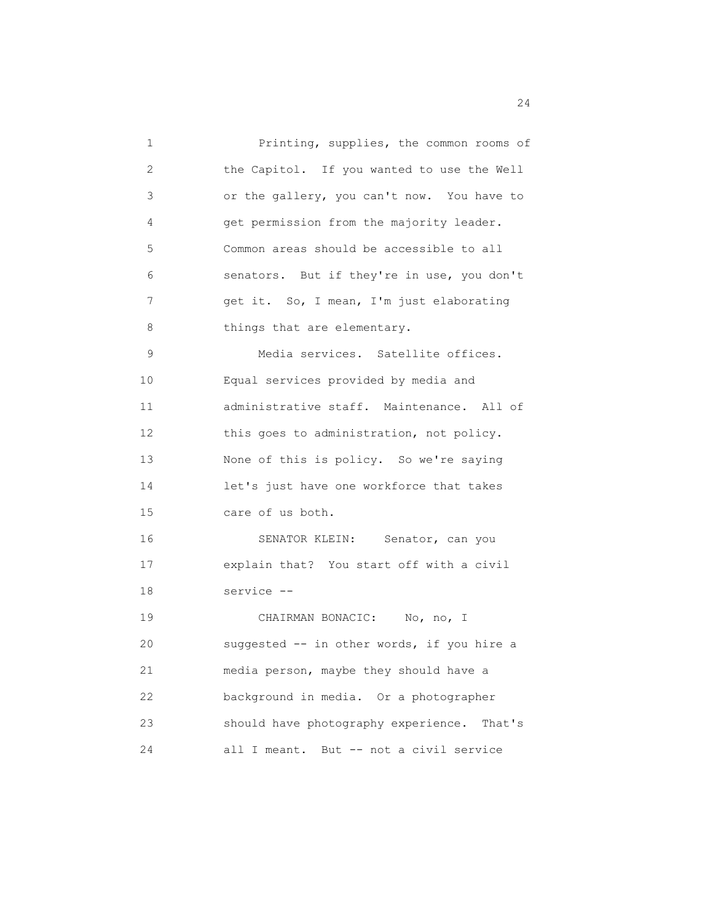1 Printing, supplies, the common rooms of 2 the Capitol. If you wanted to use the Well 3 or the gallery, you can't now. You have to 4 get permission from the majority leader. 5 Common areas should be accessible to all 6 senators. But if they're in use, you don't 7 get it. So, I mean, I'm just elaborating 8 things that are elementary. 9 Media services. Satellite offices. 10 Equal services provided by media and 11 administrative staff. Maintenance. All of 12 this goes to administration, not policy. 13 None of this is policy. So we're saying 14 let's just have one workforce that takes 15 care of us both. 16 SENATOR KLEIN: Senator, can you 17 explain that? You start off with a civil 18 service -- 19 CHAIRMAN BONACIC: No, no, I 20 suggested -- in other words, if you hire a 21 media person, maybe they should have a 22 background in media. Or a photographer 23 should have photography experience. That's 24 all I meant. But -- not a civil service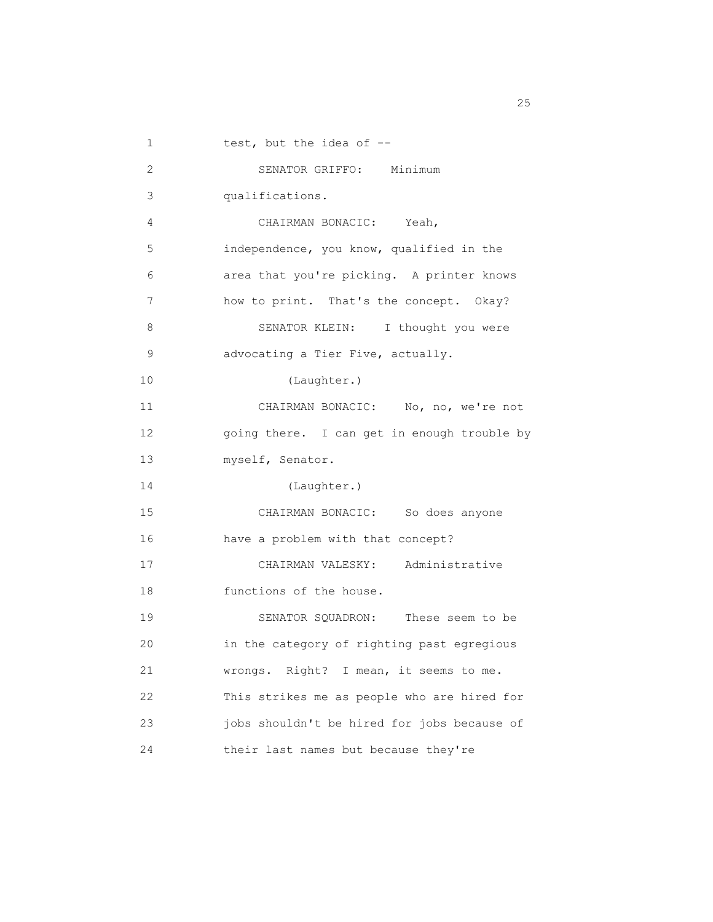1 test, but the idea of -- 2 SENATOR GRIFFO: Minimum 3 qualifications. 4 CHAIRMAN BONACIC: Yeah, 5 independence, you know, qualified in the 6 area that you're picking. A printer knows 7 how to print. That's the concept. Okay? 8 SENATOR KLEIN: I thought you were 9 advocating a Tier Five, actually. 10 (Laughter.) 11 CHAIRMAN BONACIC: No, no, we're not 12 going there. I can get in enough trouble by 13 myself, Senator. 14 (Laughter.) 15 CHAIRMAN BONACIC: So does anyone 16 have a problem with that concept? 17 CHAIRMAN VALESKY: Administrative 18 functions of the house. 19 SENATOR SQUADRON: These seem to be 20 in the category of righting past egregious 21 wrongs. Right? I mean, it seems to me. 22 This strikes me as people who are hired for 23 jobs shouldn't be hired for jobs because of 24 their last names but because they're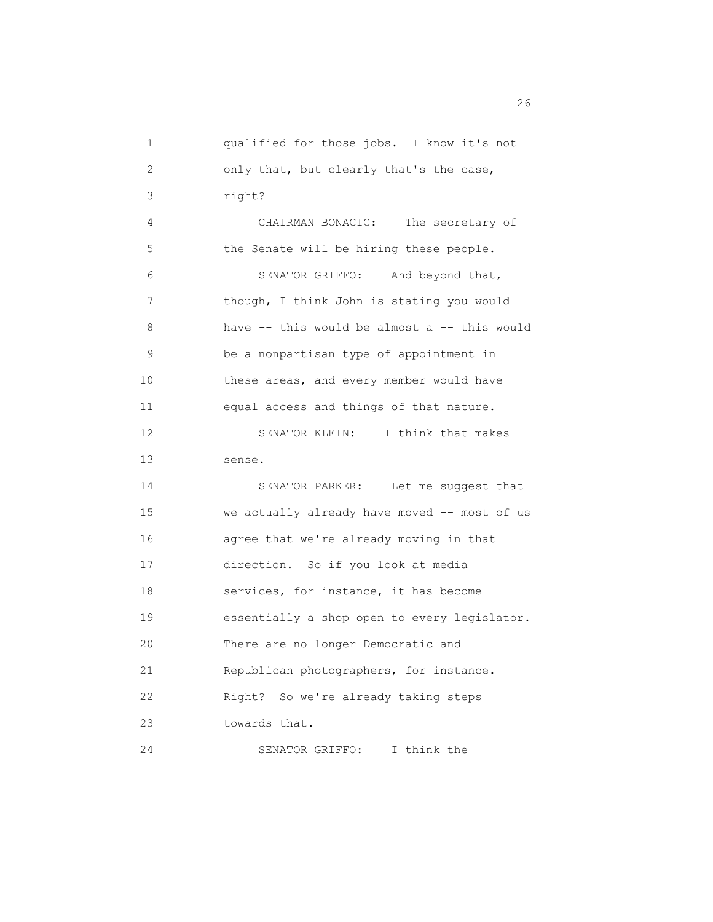| 1               | qualified for those jobs. I know it's not    |
|-----------------|----------------------------------------------|
| 2               | only that, but clearly that's the case,      |
| 3               | right?                                       |
| 4               | CHAIRMAN BONACIC: The secretary of           |
| 5               | the Senate will be hiring these people.      |
| 6               | SENATOR GRIFFO: And beyond that,             |
| 7               | though, I think John is stating you would    |
| 8               | have -- this would be almost a -- this would |
| 9               | be a nonpartisan type of appointment in      |
| 10 <sub>o</sub> | these areas, and every member would have     |
| 11              | equal access and things of that nature.      |
| 12              | SENATOR KLEIN: I think that makes            |
|                 | sense.                                       |
| 13              |                                              |
| 14              | SENATOR PARKER: Let me suggest that          |
| 15              | we actually already have moved -- most of us |
| 16              | agree that we're already moving in that      |
| 17              | direction. So if you look at media           |
| 18              | services, for instance, it has become        |
| 19              | essentially a shop open to every legislator. |
| 20              | There are no longer Democratic and           |
| 21              | Republican photographers, for instance.      |
| 22              | Right? So we're already taking steps         |
| 23              | towards that.                                |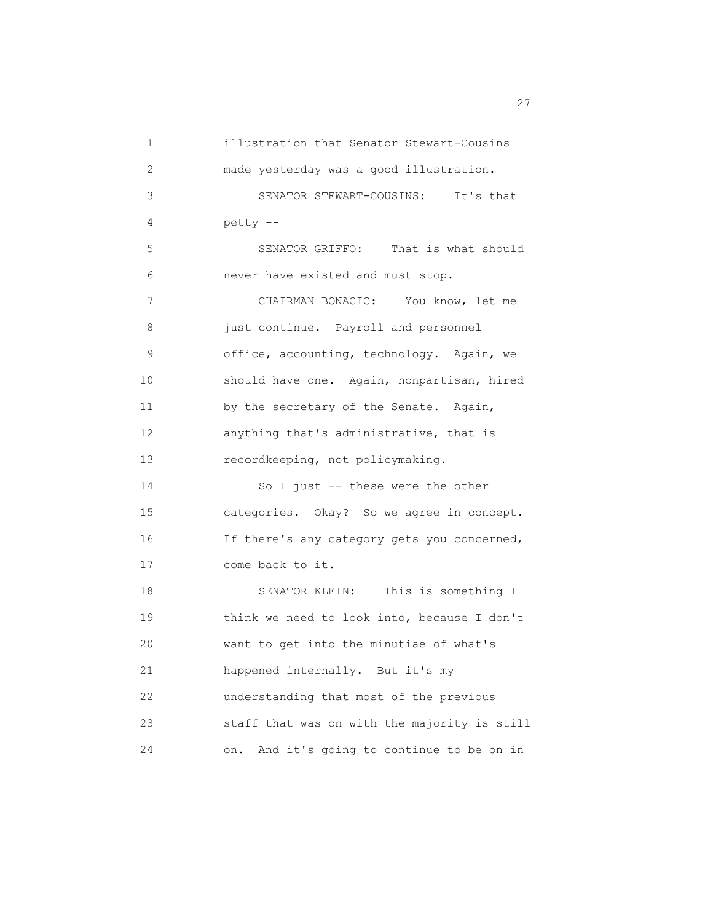1 illustration that Senator Stewart-Cousins 2 made yesterday was a good illustration. 3 SENATOR STEWART-COUSINS: It's that 4 petty -- 5 SENATOR GRIFFO: That is what should 6 never have existed and must stop. 7 CHAIRMAN BONACIC: You know, let me 8 **just continue.** Payroll and personnel 9 office, accounting, technology. Again, we 10 should have one. Again, nonpartisan, hired 11 by the secretary of the Senate. Again, 12 anything that's administrative, that is 13 recordkeeping, not policymaking. 14 So I just -- these were the other 15 categories. Okay? So we agree in concept. 16 If there's any category gets you concerned, 17 come back to it. 18 SENATOR KLEIN: This is something I 19 think we need to look into, because I don't 20 want to get into the minutiae of what's 21 happened internally. But it's my 22 understanding that most of the previous 23 staff that was on with the majority is still 24 on. And it's going to continue to be on in

<u>27</u>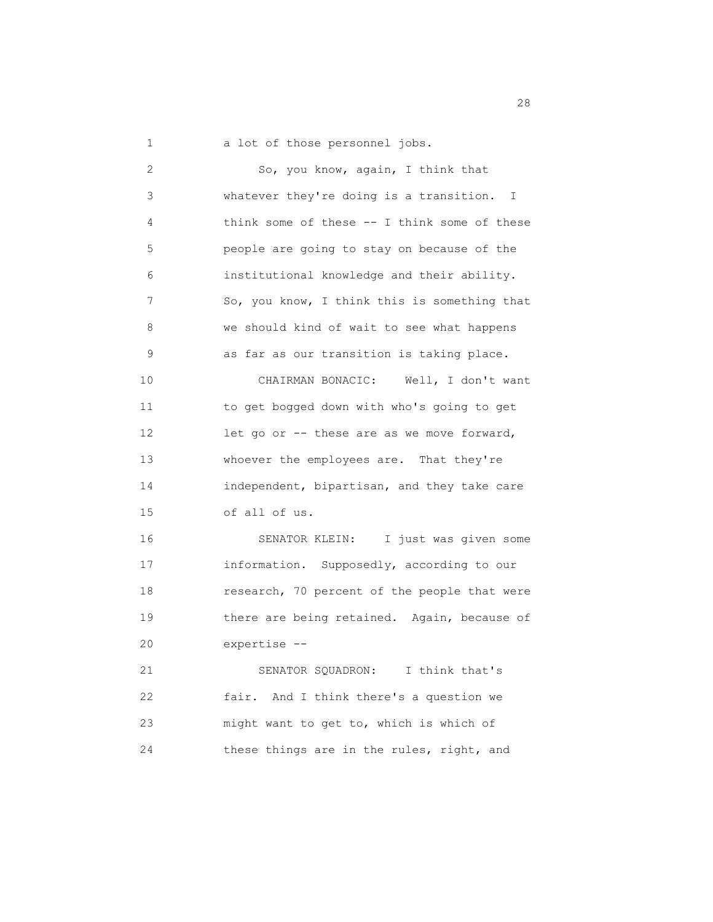1 a lot of those personnel jobs.

 2 So, you know, again, I think that 3 whatever they're doing is a transition. I 4 think some of these -- I think some of these 5 people are going to stay on because of the 6 institutional knowledge and their ability. 7 So, you know, I think this is something that 8 we should kind of wait to see what happens 9 as far as our transition is taking place. 10 CHAIRMAN BONACIC: Well, I don't want 11 to get bogged down with who's going to get 12 let go or -- these are as we move forward, 13 whoever the employees are. That they're 14 independent, bipartisan, and they take care 15 of all of us. 16 SENATOR KLEIN: I just was given some 17 information. Supposedly, according to our 18 research, 70 percent of the people that were 19 there are being retained. Again, because of 20 expertise -- 21 SENATOR SQUADRON: I think that's 22 fair. And I think there's a question we 23 might want to get to, which is which of 24 these things are in the rules, right, and

28 and 28 and 28 and 28 and 28 and 28 and 28 and 28 and 28 and 28 and 28 and 28 and 28 and 28 and 28 and 28 and 28 and 28 and 28 and 28 and 28 and 28 and 28 and 28 and 28 and 28 and 28 and 28 and 28 and 28 and 28 and 28 an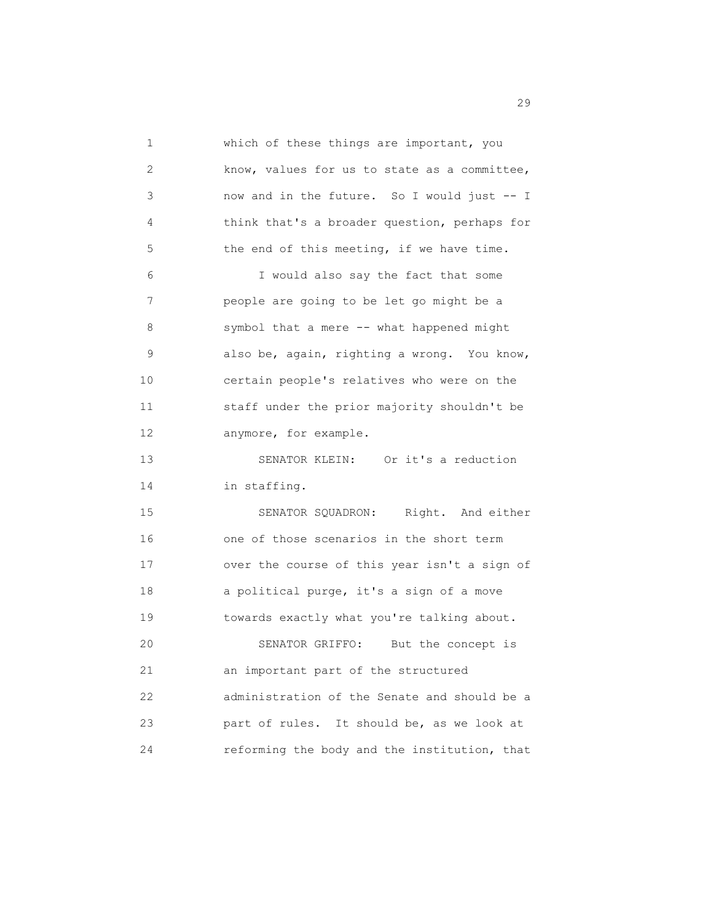1 which of these things are important, you 2 know, values for us to state as a committee, 3 now and in the future. So I would just -- I 4 think that's a broader question, perhaps for 5 the end of this meeting, if we have time. 6 I would also say the fact that some 7 people are going to be let go might be a 8 symbol that a mere -- what happened might 9 also be, again, righting a wrong. You know, 10 certain people's relatives who were on the 11 staff under the prior majority shouldn't be 12 anymore, for example. 13 SENATOR KLEIN: Or it's a reduction 14 in staffing. 15 SENATOR SQUADRON: Right. And either 16 one of those scenarios in the short term 17 over the course of this year isn't a sign of 18 a political purge, it's a sign of a move 19 towards exactly what you're talking about. 20 SENATOR GRIFFO: But the concept is 21 an important part of the structured 22 administration of the Senate and should be a 23 part of rules. It should be, as we look at 24 reforming the body and the institution, that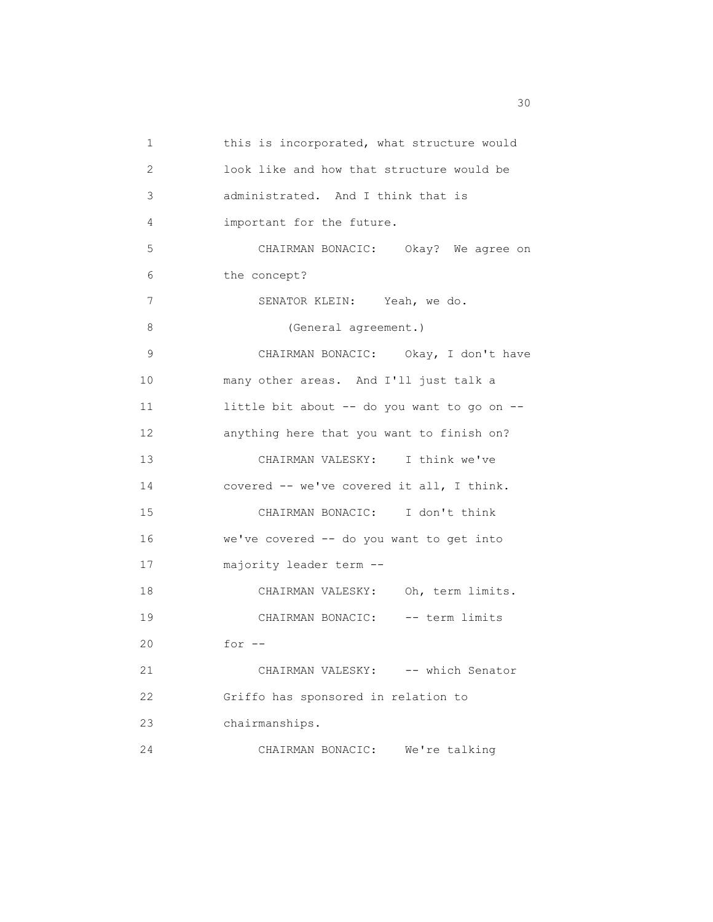1 this is incorporated, what structure would 2 look like and how that structure would be 3 administrated. And I think that is 4 important for the future. 5 CHAIRMAN BONACIC: Okay? We agree on 6 the concept? 7 SENATOR KLEIN: Yeah, we do. 8 (General agreement.) 9 CHAIRMAN BONACIC: Okay, I don't have 10 many other areas. And I'll just talk a 11 little bit about -- do you want to go on -- 12 anything here that you want to finish on? 13 CHAIRMAN VALESKY: I think we've 14 covered -- we've covered it all, I think. 15 CHAIRMAN BONACIC: I don't think 16 we've covered -- do you want to get into 17 majority leader term -- 18 CHAIRMAN VALESKY: Oh, term limits. 19 CHAIRMAN BONACIC: -- term limits 20 for -- 21 CHAIRMAN VALESKY: -- which Senator 22 Griffo has sponsored in relation to 23 chairmanships. 24 CHAIRMAN BONACIC: We're talking

 $30<sup>2</sup>$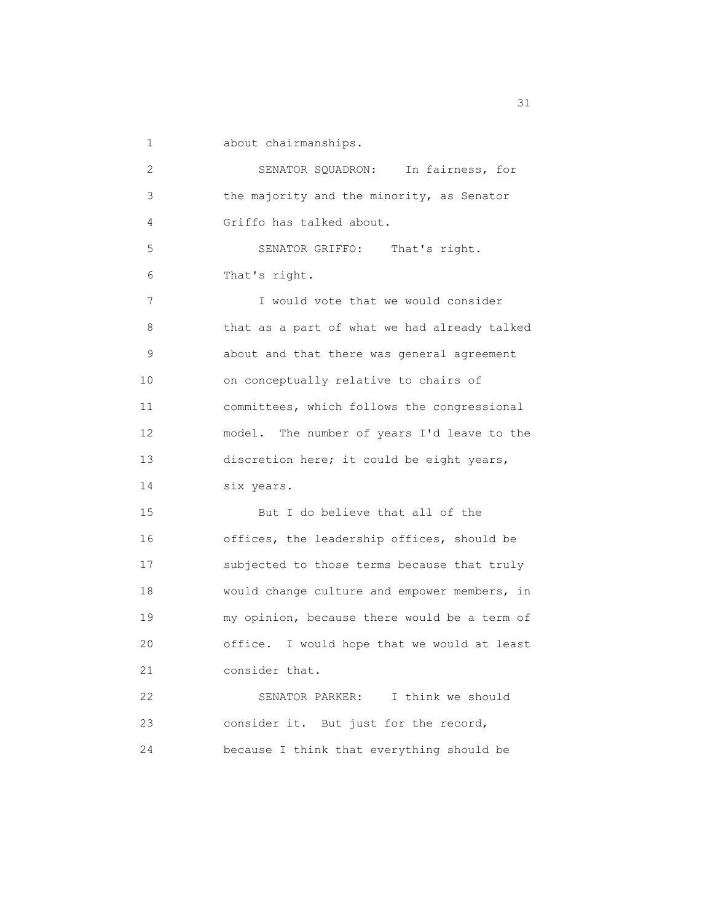1 about chairmanships.

 2 SENATOR SQUADRON: In fairness, for 3 the majority and the minority, as Senator 4 Griffo has talked about. 5 SENATOR GRIFFO: That's right. 6 That's right. 7 I would vote that we would consider 8 that as a part of what we had already talked 9 about and that there was general agreement 10 on conceptually relative to chairs of 11 committees, which follows the congressional 12 model. The number of years I'd leave to the 13 discretion here; it could be eight years, 14 six years. 15 But I do believe that all of the 16 offices, the leadership offices, should be 17 subjected to those terms because that truly 18 would change culture and empower members, in 19 my opinion, because there would be a term of 20 office. I would hope that we would at least 21 consider that. 22 SENATOR PARKER: I think we should 23 consider it. But just for the record, 24 because I think that everything should be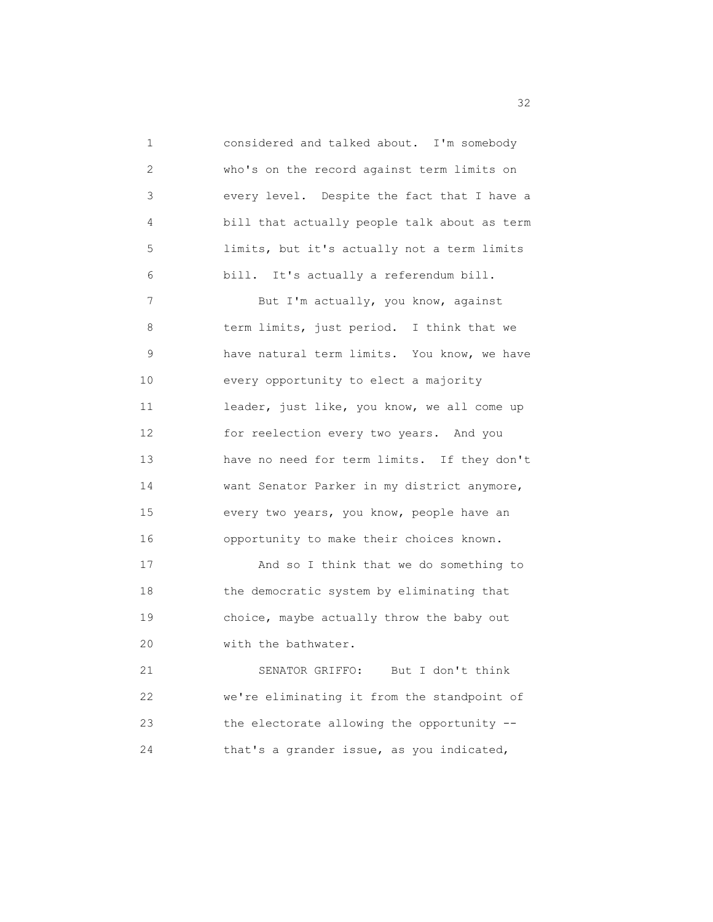1 considered and talked about. I'm somebody 2 who's on the record against term limits on 3 every level. Despite the fact that I have a 4 bill that actually people talk about as term 5 limits, but it's actually not a term limits 6 bill. It's actually a referendum bill. 7 But I'm actually, you know, against 8 term limits, just period. I think that we 9 have natural term limits. You know, we have 10 every opportunity to elect a majority 11 leader, just like, you know, we all come up 12 for reelection every two years. And you 13 have no need for term limits. If they don't 14 want Senator Parker in my district anymore, 15 every two years, you know, people have an 16 opportunity to make their choices known. 17 And so I think that we do something to 18 the democratic system by eliminating that 19 choice, maybe actually throw the baby out 20 with the bathwater. 21 SENATOR GRIFFO: But I don't think 22 we're eliminating it from the standpoint of

24 that's a grander issue, as you indicated,

23 the electorate allowing the opportunity --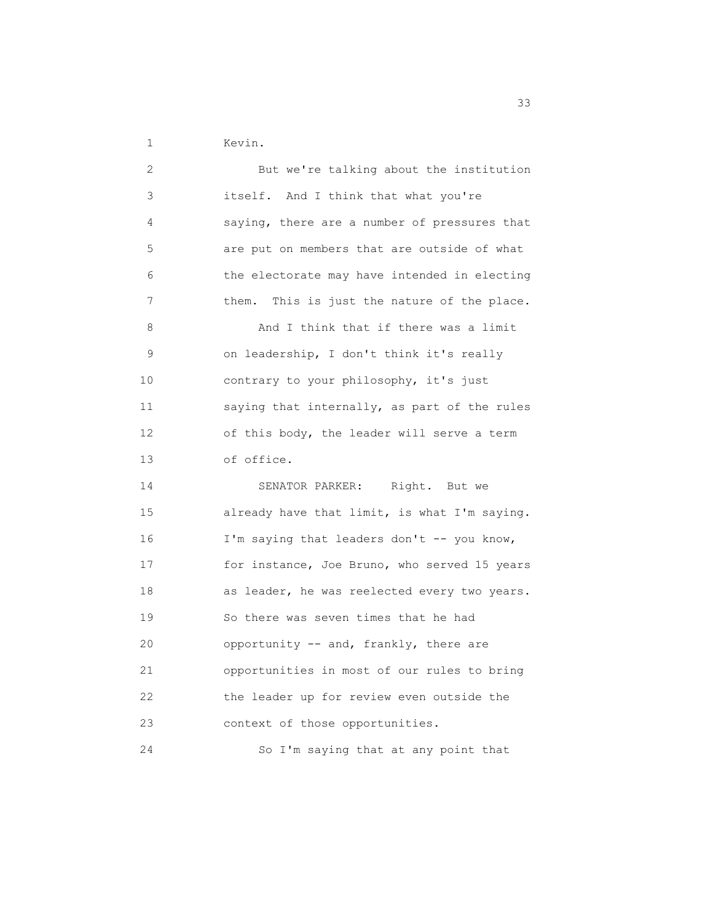1 Kevin.

| 2  | But we're talking about the institution        |
|----|------------------------------------------------|
| 3  | itself. And I think that what you're           |
| 4  | saying, there are a number of pressures that   |
| 5  | are put on members that are outside of what    |
| 6  | the electorate may have intended in electing   |
| 7  | This is just the nature of the place.<br>them. |
| 8  | And I think that if there was a limit          |
| 9  | on leadership, I don't think it's really       |
| 10 | contrary to your philosophy, it's just         |
| 11 | saying that internally, as part of the rules   |
| 12 | of this body, the leader will serve a term     |
| 13 | of office.                                     |
| 14 | SENATOR PARKER:<br>Right. But we               |
| 15 | already have that limit, is what I'm saying.   |
| 16 | I'm saying that leaders don't -- you know,     |
| 17 | for instance, Joe Bruno, who served 15 years   |
| 18 | as leader, he was reelected every two years.   |
| 19 | So there was seven times that he had           |
| 20 | opportunity -- and, frankly, there are         |
| 21 | opportunities in most of our rules to bring    |
| 22 | the leader up for review even outside the      |
| 23 | context of those opportunities.                |
| 24 | So I'm saying that at any point that           |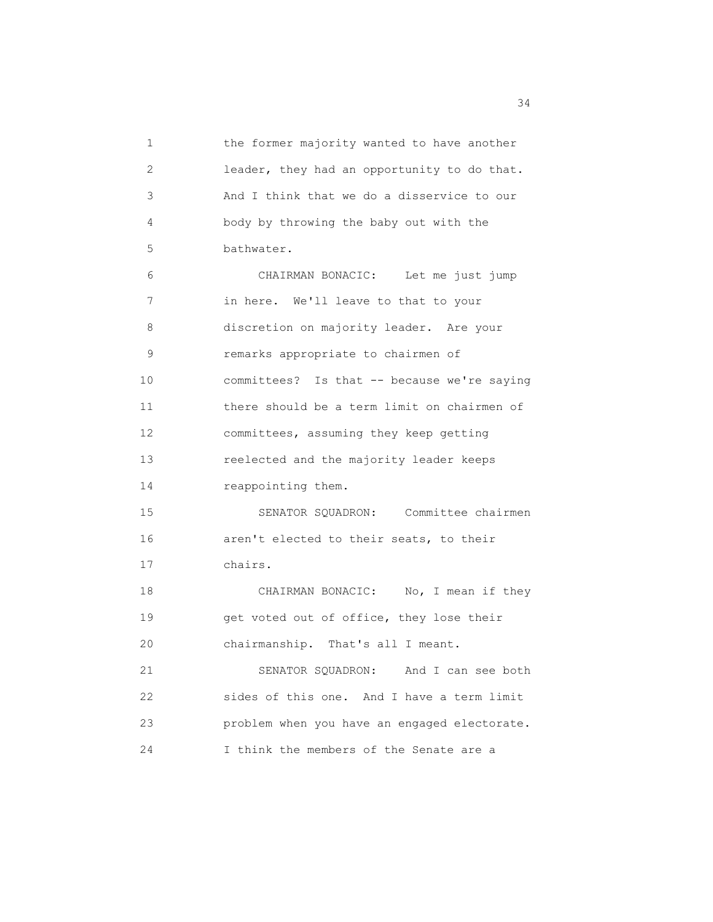1 the former majority wanted to have another 2 leader, they had an opportunity to do that. 3 And I think that we do a disservice to our 4 body by throwing the baby out with the 5 bathwater. 6 CHAIRMAN BONACIC: Let me just jump 7 in here. We'll leave to that to your 8 discretion on majority leader. Are your 9 remarks appropriate to chairmen of 10 committees? Is that -- because we're saying 11 there should be a term limit on chairmen of 12 committees, assuming they keep getting 13 reelected and the majority leader keeps 14 reappointing them. 15 SENATOR SQUADRON: Committee chairmen 16 aren't elected to their seats, to their 17 chairs. 18 CHAIRMAN BONACIC: No, I mean if they 19 get voted out of office, they lose their 20 chairmanship. That's all I meant. 21 SENATOR SQUADRON: And I can see both 22 sides of this one. And I have a term limit 23 problem when you have an engaged electorate. 24 I think the members of the Senate are a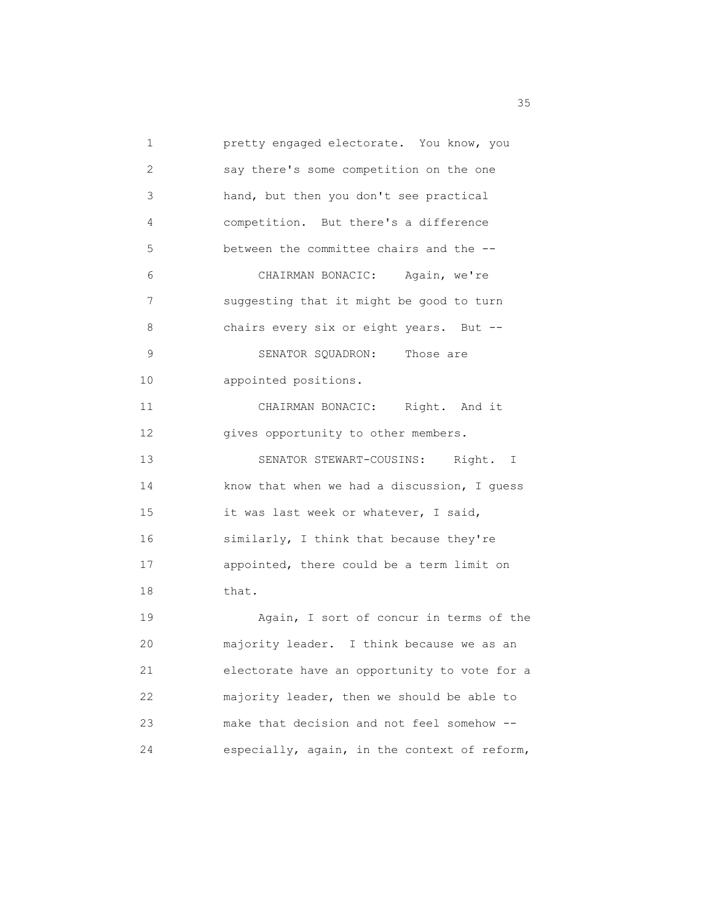1 pretty engaged electorate. You know, you 2 say there's some competition on the one 3 hand, but then you don't see practical 4 competition. But there's a difference 5 between the committee chairs and the -- 6 CHAIRMAN BONACIC: Again, we're 7 suggesting that it might be good to turn 8 chairs every six or eight years. But --9 SENATOR SQUADRON: Those are 10 appointed positions. 11 CHAIRMAN BONACIC: Right. And it 12 gives opportunity to other members. 13 SENATOR STEWART-COUSINS: Right. I 14 know that when we had a discussion, I guess 15 it was last week or whatever, I said, 16 similarly, I think that because they're 17 appointed, there could be a term limit on 18 that. 19 Again, I sort of concur in terms of the 20 majority leader. I think because we as an 21 electorate have an opportunity to vote for a 22 majority leader, then we should be able to 23 make that decision and not feel somehow -- 24 especially, again, in the context of reform,

<u>35 States and the states and the states and the states and the states and the states and the states and the states and the states and the states and the states and the states and the states and the states and the states a</u>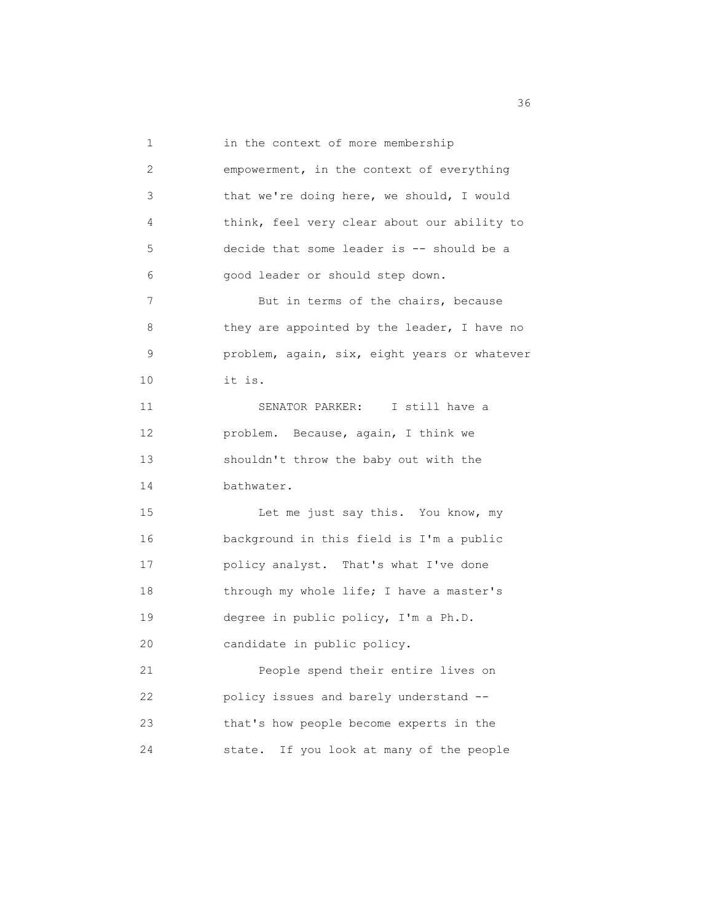1 in the context of more membership 2 empowerment, in the context of everything 3 that we're doing here, we should, I would 4 think, feel very clear about our ability to 5 decide that some leader is -- should be a 6 good leader or should step down. 7 But in terms of the chairs, because 8 they are appointed by the leader, I have no 9 problem, again, six, eight years or whatever 10 it is. 11 SENATOR PARKER: I still have a 12 problem. Because, again, I think we 13 shouldn't throw the baby out with the 14 bathwater. 15 Let me just say this. You know, my 16 background in this field is I'm a public 17 policy analyst. That's what I've done 18 through my whole life; I have a master's 19 degree in public policy, I'm a Ph.D. 20 candidate in public policy. 21 People spend their entire lives on 22 policy issues and barely understand -- 23 that's how people become experts in the 24 state. If you look at many of the people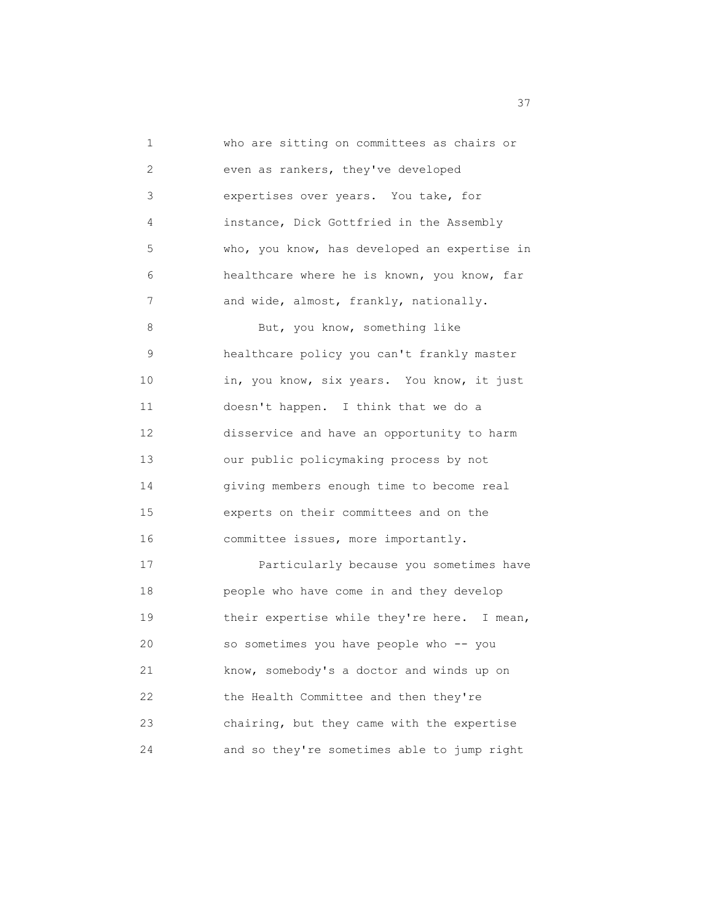1 who are sitting on committees as chairs or 2 even as rankers, they've developed 3 expertises over years. You take, for 4 instance, Dick Gottfried in the Assembly 5 who, you know, has developed an expertise in 6 healthcare where he is known, you know, far 7 and wide, almost, frankly, nationally. 8 But, you know, something like 9 healthcare policy you can't frankly master 10 in, you know, six years. You know, it just 11 doesn't happen. I think that we do a 12 disservice and have an opportunity to harm 13 our public policymaking process by not 14 giving members enough time to become real 15 experts on their committees and on the 16 committee issues, more importantly. 17 Particularly because you sometimes have 18 people who have come in and they develop 19 their expertise while they're here. I mean, 20 so sometimes you have people who -- you 21 know, somebody's a doctor and winds up on 22 the Health Committee and then they're 23 chairing, but they came with the expertise 24 and so they're sometimes able to jump right

<u>37</u>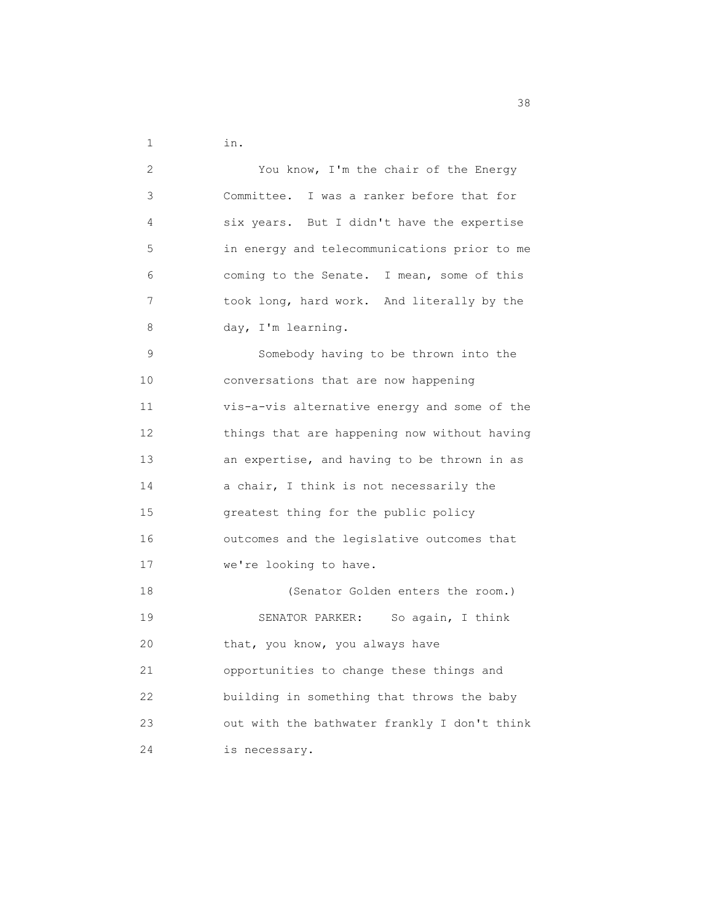1 in.

| 2  | You know, I'm the chair of the Energy        |
|----|----------------------------------------------|
| 3  | Committee. I was a ranker before that for    |
| 4  | six years. But I didn't have the expertise   |
| 5. | in energy and telecommunications prior to me |
| 6  | coming to the Senate. I mean, some of this   |
| 7  | took long, hard work. And literally by the   |
| 8  | day, I'm learning.                           |
| 9  | Somebody having to be thrown into the        |
| 10 | conversations that are now happening         |
| 11 | vis-a-vis alternative energy and some of the |
| 12 | things that are happening now without having |
| 13 | an expertise, and having to be thrown in as  |
| 14 | a chair, I think is not necessarily the      |
| 15 | greatest thing for the public policy         |
| 16 | outcomes and the legislative outcomes that   |
| 17 | we're looking to have.                       |
| 18 | (Senator Golden enters the room.)            |
| 19 | SENATOR PARKER: So again, I think            |
| 20 | that, you know, you always have              |
| 21 | opportunities to change these things and     |
| 22 | building in something that throws the baby   |
| 23 | out with the bathwater frankly I don't think |
| 24 | is necessary.                                |

<u>38</u> September 2008 and 2008 September 2008 and 2008 September 2008 September 2008 September 2008 September 2008 September 2008 September 2008 September 2008 September 2008 September 2008 September 2008 September 2008 Sept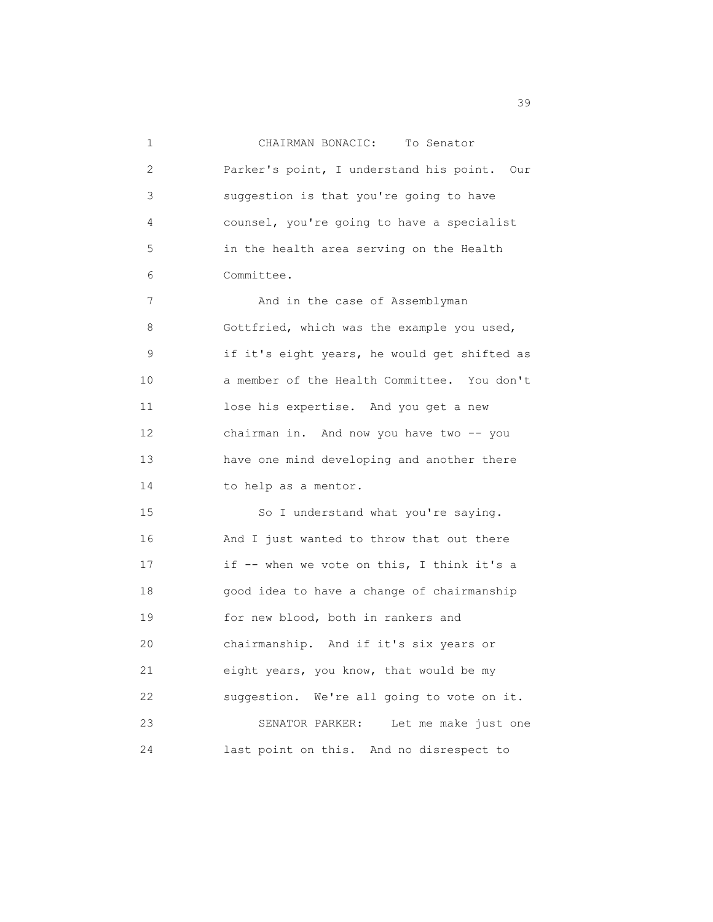1 CHAIRMAN BONACIC: To Senator 2 Parker's point, I understand his point. Our 3 suggestion is that you're going to have 4 counsel, you're going to have a specialist 5 in the health area serving on the Health 6 Committee. 7 And in the case of Assemblyman 8 Gottfried, which was the example you used, 9 if it's eight years, he would get shifted as 10 a member of the Health Committee. You don't 11 lose his expertise. And you get a new 12 chairman in. And now you have two -- you 13 have one mind developing and another there 14 to help as a mentor. 15 So I understand what you're saying. 16 And I just wanted to throw that out there 17 if -- when we vote on this, I think it's a 18 good idea to have a change of chairmanship 19 for new blood, both in rankers and 20 chairmanship. And if it's six years or 21 eight years, you know, that would be my 22 suggestion. We're all going to vote on it. 23 SENATOR PARKER: Let me make just one 24 last point on this. And no disrespect to

39 and 2012 and 2012 and 2012 and 2012 and 2012 and 2012 and 2012 and 2012 and 2013 and 2013 and 2013 and 2013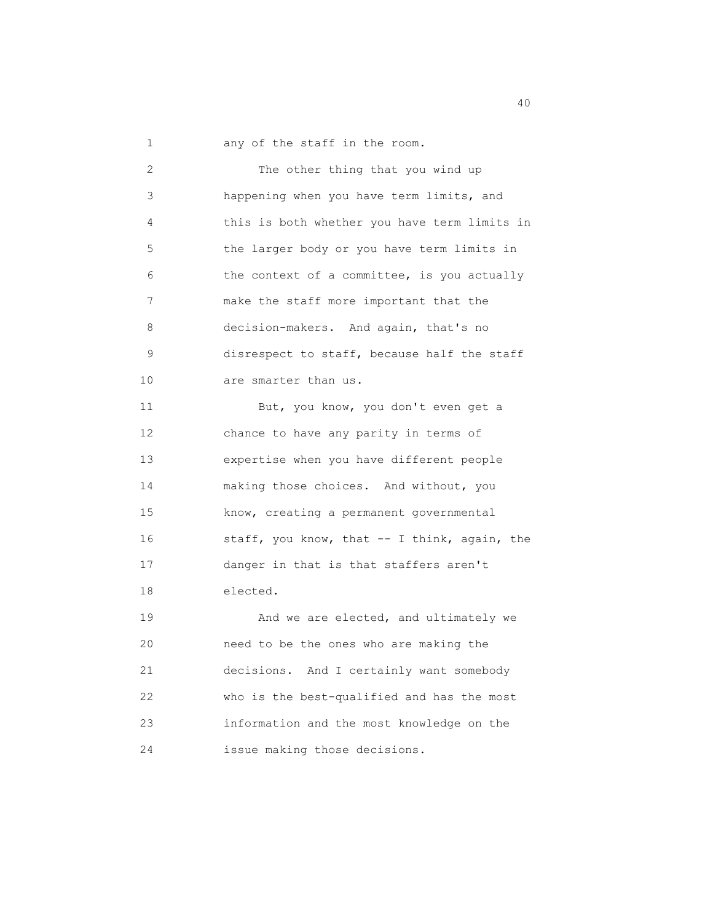1 any of the staff in the room.

 2 The other thing that you wind up 3 happening when you have term limits, and 4 this is both whether you have term limits in 5 the larger body or you have term limits in 6 the context of a committee, is you actually 7 make the staff more important that the 8 decision-makers. And again, that's no 9 disrespect to staff, because half the staff 10 are smarter than us. 11 But, you know, you don't even get a 12 chance to have any parity in terms of 13 expertise when you have different people 14 making those choices. And without, you 15 know, creating a permanent governmental 16 staff, you know, that -- I think, again, the 17 danger in that is that staffers aren't 18 elected. 19 **And we are elected, and ultimately we**  20 need to be the ones who are making the 21 decisions. And I certainly want somebody 22 who is the best-qualified and has the most 23 information and the most knowledge on the 24 issue making those decisions.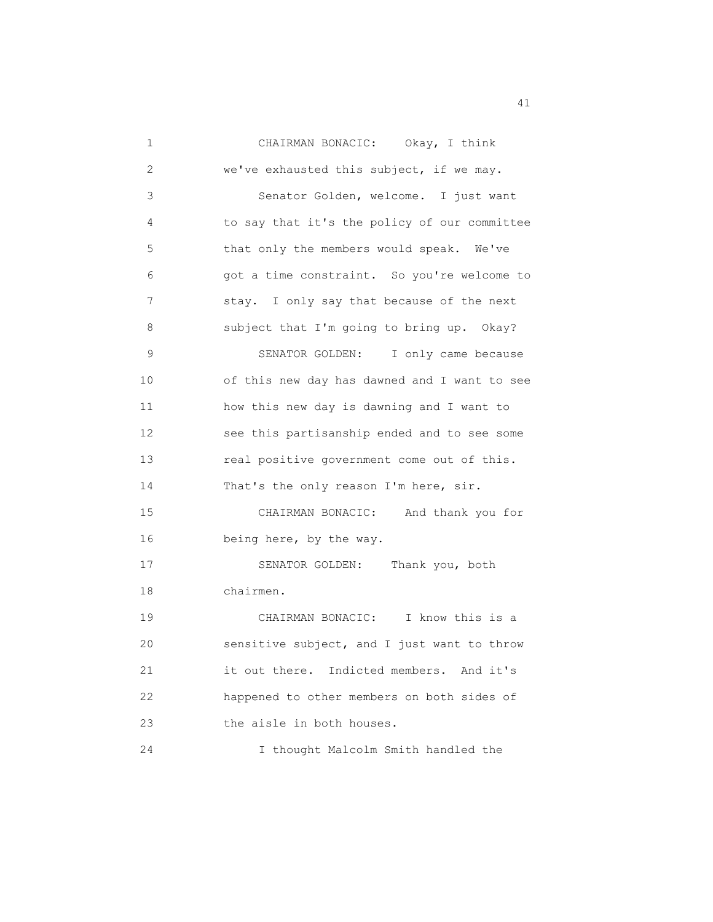| 1  | CHAIRMAN BONACIC: Okay, I think              |
|----|----------------------------------------------|
| 2  | we've exhausted this subject, if we may.     |
| 3  | Senator Golden, welcome. I just want         |
| 4  | to say that it's the policy of our committee |
| 5  | that only the members would speak. We've     |
| 6  | got a time constraint. So you're welcome to  |
| 7  | stay. I only say that because of the next    |
| 8  | subject that I'm going to bring up. Okay?    |
| 9  | SENATOR GOLDEN: I only came because          |
| 10 | of this new day has dawned and I want to see |
| 11 | how this new day is dawning and I want to    |
| 12 | see this partisanship ended and to see some  |
| 13 | real positive government come out of this.   |
| 14 | That's the only reason I'm here, sir.        |
| 15 | CHAIRMAN BONACIC: And thank you for          |
| 16 | being here, by the way.                      |
| 17 | SENATOR GOLDEN: Thank you, both              |
| 18 | chairmen.                                    |
| 19 | CHAIRMAN BONACIC: I know this is a           |
| 20 | sensitive subject, and I just want to throw  |
| 21 | it out there. Indicted members. And it's     |
| 22 | happened to other members on both sides of   |
| 23 | the aisle in both houses.                    |
| 24 | I thought Malcolm Smith handled the          |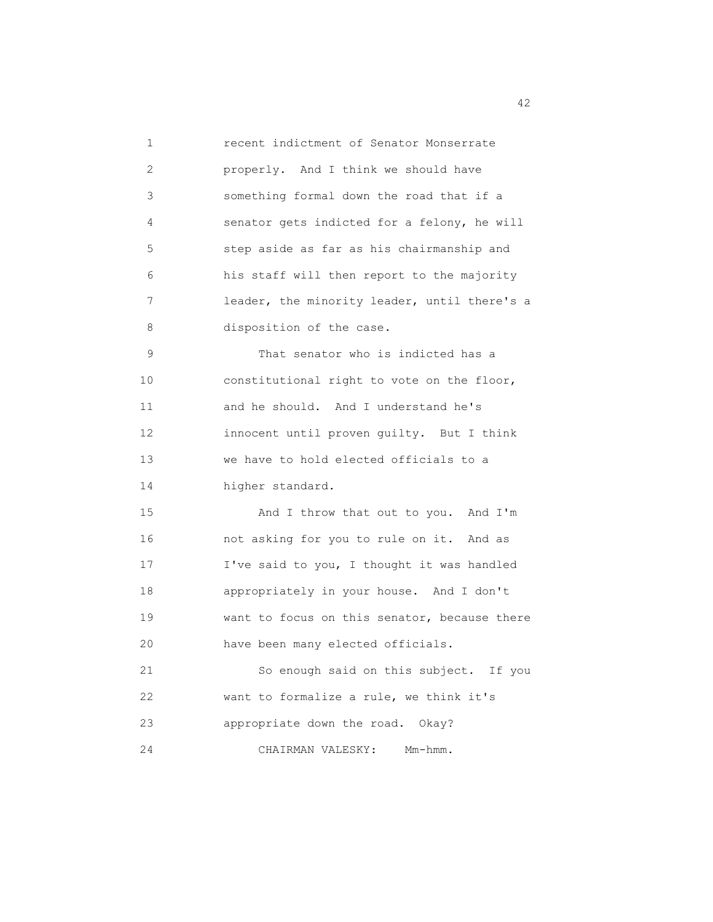| $\mathbf{1}$ | recent indictment of Senator Monserrate      |
|--------------|----------------------------------------------|
| 2            | properly. And I think we should have         |
| 3            | something formal down the road that if a     |
| 4            | senator gets indicted for a felony, he will  |
| 5            | step aside as far as his chairmanship and    |
| 6            | his staff will then report to the majority   |
| 7            | leader, the minority leader, until there's a |
| 8            | disposition of the case.                     |
| 9            | That senator who is indicted has a           |
| 10           | constitutional right to vote on the floor,   |
| 11           | and he should. And I understand he's         |
| 12           | innocent until proven guilty. But I think    |
| 13           | we have to hold elected officials to a       |
| 14           | higher standard.                             |
| 15           | And I throw that out to you. And I'm         |
| 16           | not asking for you to rule on it. And as     |
| 17           | I've said to you, I thought it was handled   |
| 18           | appropriately in your house. And I don't     |
| 19           | want to focus on this senator, because there |
| 20           | have been many elected officials.            |
| 21           | So enough said on this subject. If you       |
| 22           | want to formalize a rule, we think it's      |
| 23           | appropriate down the road. Okay?             |
| 24           | Mm-hmm.<br>CHAIRMAN VALESKY:                 |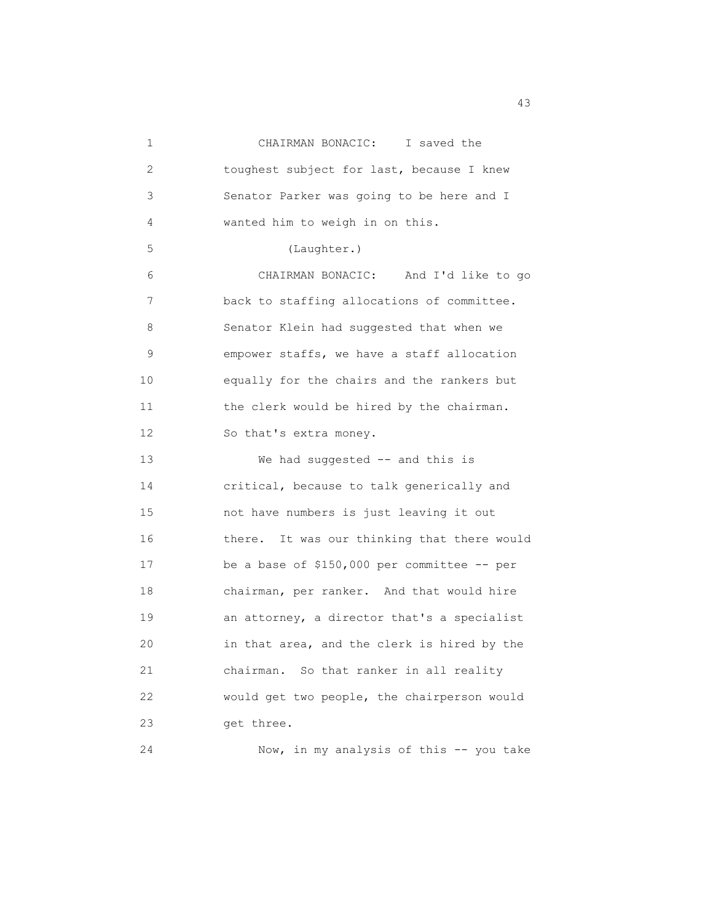| $\mathbf 1$ | CHAIRMAN BONACIC: I saved the                |
|-------------|----------------------------------------------|
| 2           | toughest subject for last, because I knew    |
| 3           | Senator Parker was going to be here and I    |
| 4           | wanted him to weigh in on this.              |
| 5           | (Laughter.)                                  |
| 6           | CHAIRMAN BONACIC:<br>And I'd like to go      |
| 7           | back to staffing allocations of committee.   |
| 8           | Senator Klein had suggested that when we     |
| 9           | empower staffs, we have a staff allocation   |
| 10          | equally for the chairs and the rankers but   |
| 11          | the clerk would be hired by the chairman.    |
| 12          | So that's extra money.                       |
| 13          | We had suggested -- and this is              |
| 14          | critical, because to talk generically and    |
| 15          | not have numbers is just leaving it out      |
| 16          | there. It was our thinking that there would  |
| 17          | be a base of $$150,000$ per committee -- per |
| 18          | chairman, per ranker. And that would hire    |
| 19          | an attorney, a director that's a specialist  |
| 20          | in that area, and the clerk is hired by the  |
| 21          | chairman. So that ranker in all reality      |
| 22          | would get two people, the chairperson would  |
| 23          | get three.                                   |
| 24          | Now, in my analysis of this -- you take      |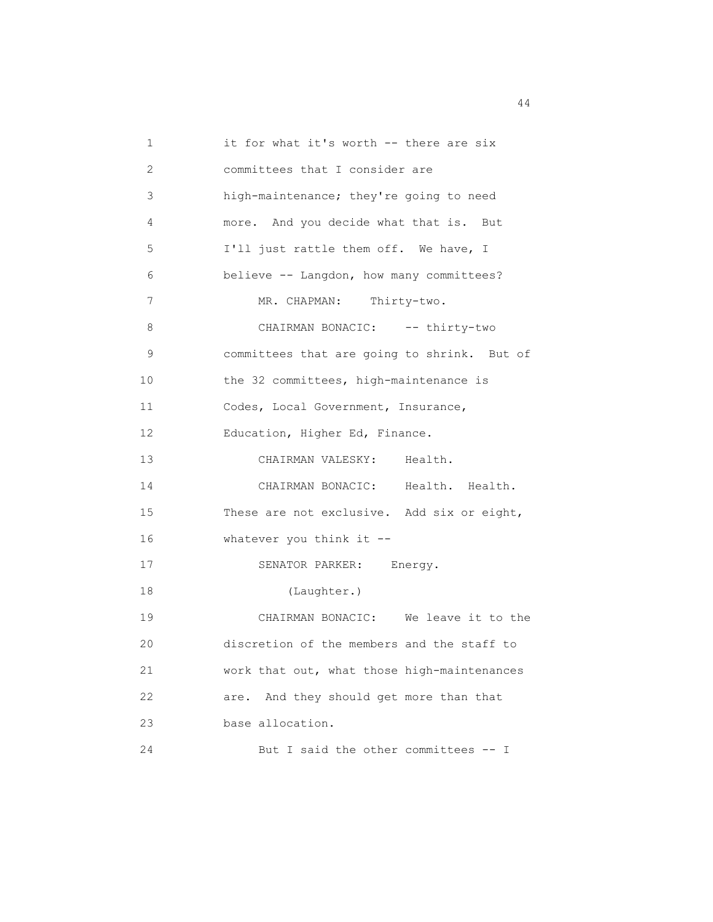1 it for what it's worth -- there are six 2 committees that I consider are 3 high-maintenance; they're going to need 4 more. And you decide what that is. But 5 I'll just rattle them off. We have, I 6 believe -- Langdon, how many committees? 7 MR. CHAPMAN: Thirty-two. 8 CHAIRMAN BONACIC: -- thirty-two 9 committees that are going to shrink. But of 10 the 32 committees, high-maintenance is 11 Codes, Local Government, Insurance, 12 Education, Higher Ed, Finance. 13 CHAIRMAN VALESKY: Health. 14 CHAIRMAN BONACIC: Health. Health. 15 These are not exclusive. Add six or eight, 16 whatever you think it -- 17 SENATOR PARKER: Energy. 18 (Laughter.) 19 CHAIRMAN BONACIC: We leave it to the 20 discretion of the members and the staff to 21 work that out, what those high-maintenances 22 are. And they should get more than that 23 base allocation. 24 But I said the other committees -- I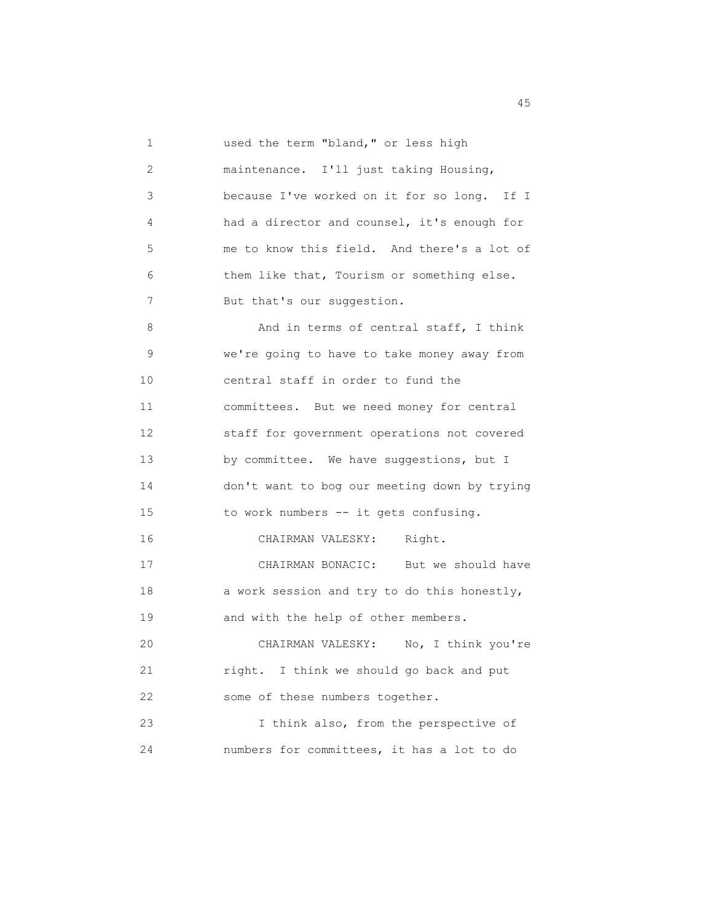1 used the term "bland," or less high 2 maintenance. I'll just taking Housing, 3 because I've worked on it for so long. If I 4 had a director and counsel, it's enough for 5 me to know this field. And there's a lot of 6 them like that, Tourism or something else. 7 But that's our suggestion. 8 And in terms of central staff, I think 9 we're going to have to take money away from 10 central staff in order to fund the 11 committees. But we need money for central 12 staff for government operations not covered 13 by committee. We have suggestions, but I 14 don't want to bog our meeting down by trying 15 to work numbers -- it gets confusing. 16 CHAIRMAN VALESKY: Right. 17 CHAIRMAN BONACIC: But we should have 18 a work session and try to do this honestly, 19 and with the help of other members. 20 CHAIRMAN VALESKY: No, I think you're 21 right. I think we should go back and put 22 some of these numbers together. 23 I think also, from the perspective of 24 numbers for committees, it has a lot to do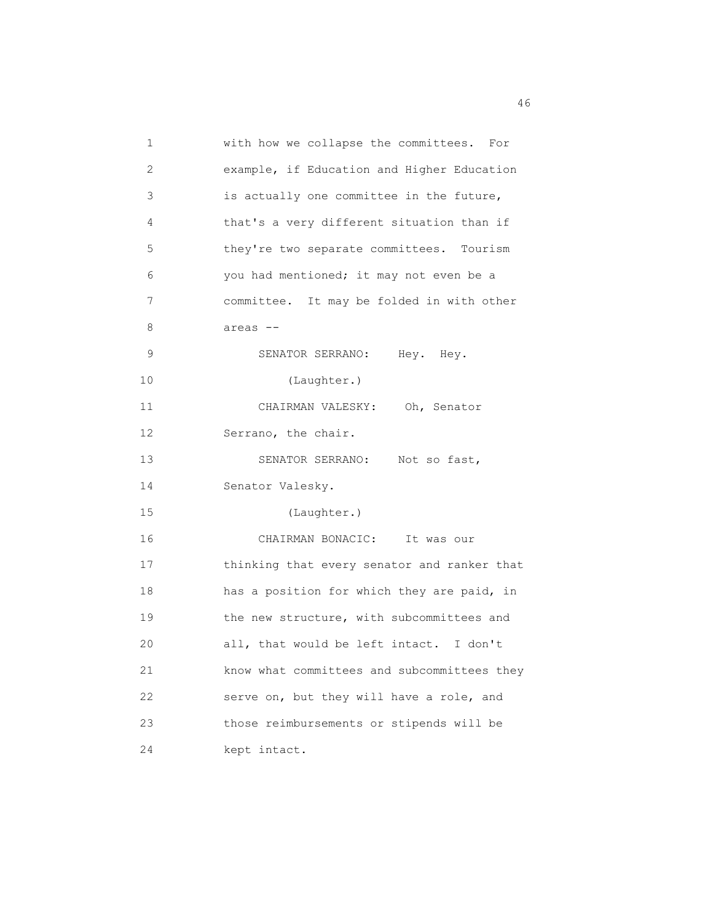| 1  | with how we collapse the committees. For    |
|----|---------------------------------------------|
| 2  | example, if Education and Higher Education  |
| 3  | is actually one committee in the future,    |
| 4  | that's a very different situation than if   |
| 5  | they're two separate committees. Tourism    |
| 6  | you had mentioned; it may not even be a     |
| 7  | committee. It may be folded in with other   |
| 8  | areas --                                    |
| 9  | SENATOR SERRANO: Hey. Hey.                  |
| 10 | (Laughter.)                                 |
| 11 | CHAIRMAN VALESKY: Oh, Senator               |
| 12 | Serrano, the chair.                         |
| 13 | SENATOR SERRANO:<br>Not so fast,            |
| 14 | Senator Valesky.                            |
| 15 | (Laughter.)                                 |
| 16 | CHAIRMAN BONACIC:<br>It was our             |
| 17 | thinking that every senator and ranker that |
| 18 | has a position for which they are paid, in  |
| 19 | the new structure, with subcommittees and   |
| 20 | all, that would be left intact. I don't     |
| 21 | know what committees and subcommittees they |
| 22 | serve on, but they will have a role, and    |
| 23 | those reimbursements or stipends will be    |
| 24 | kept intact.                                |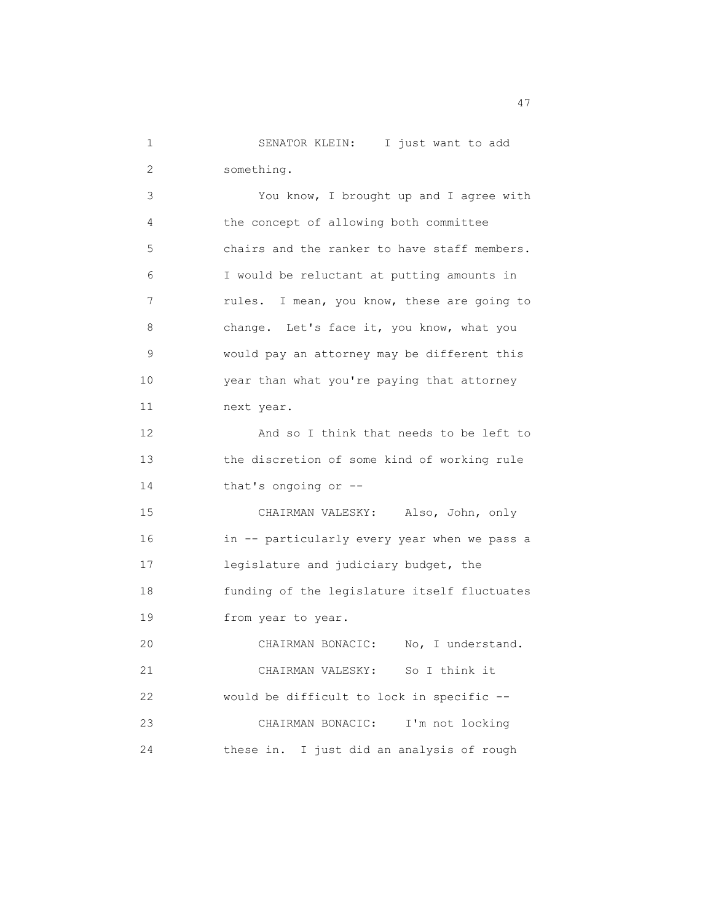1 SENATOR KLEIN: I just want to add 2 something.

 3 You know, I brought up and I agree with 4 the concept of allowing both committee 5 chairs and the ranker to have staff members. 6 I would be reluctant at putting amounts in 7 rules. I mean, you know, these are going to 8 change. Let's face it, you know, what you 9 would pay an attorney may be different this 10 year than what you're paying that attorney 11 next year. 12 And so I think that needs to be left to 13 the discretion of some kind of working rule 14 that's ongoing or -- 15 CHAIRMAN VALESKY: Also, John, only 16 in -- particularly every year when we pass a 17 legislature and judiciary budget, the 18 funding of the legislature itself fluctuates 19 from year to year. 20 CHAIRMAN BONACIC: No, I understand. 21 CHAIRMAN VALESKY: So I think it 22 would be difficult to lock in specific -- 23 CHAIRMAN BONACIC: I'm not locking 24 these in. I just did an analysis of rough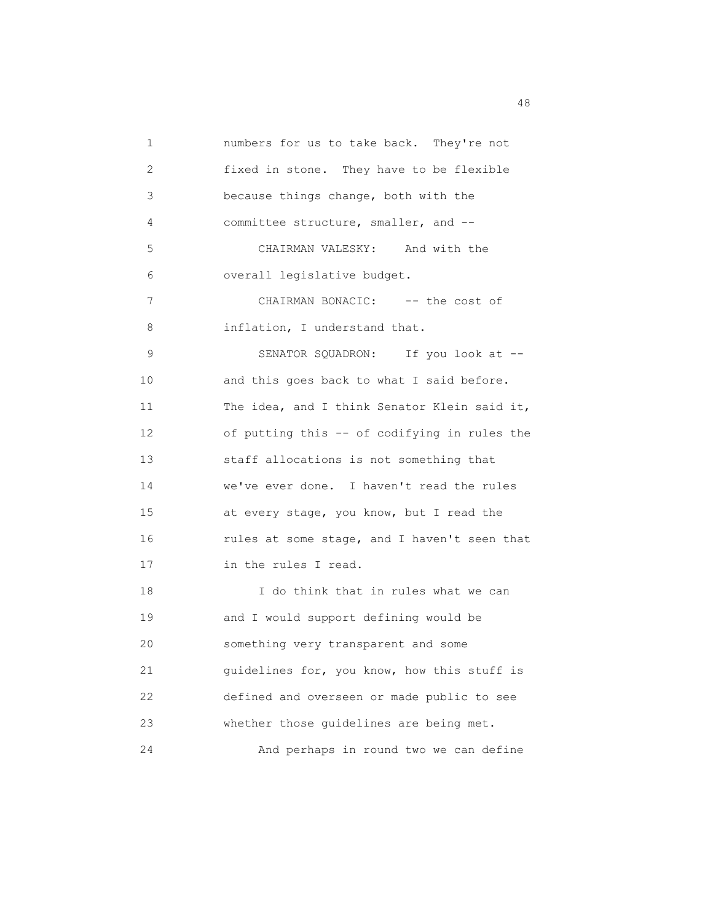1 numbers for us to take back. They're not 2 fixed in stone. They have to be flexible 3 because things change, both with the 4 committee structure, smaller, and -- 5 CHAIRMAN VALESKY: And with the 6 overall legislative budget. 7 CHAIRMAN BONACIC: -- the cost of 8 inflation, I understand that. 9 SENATOR SQUADRON: If you look at -- 10 and this goes back to what I said before. 11 The idea, and I think Senator Klein said it, 12 of putting this -- of codifying in rules the 13 staff allocations is not something that 14 we've ever done. I haven't read the rules 15 at every stage, you know, but I read the 16 rules at some stage, and I haven't seen that 17 in the rules I read. 18 I do think that in rules what we can 19 and I would support defining would be 20 something very transparent and some 21 guidelines for, you know, how this stuff is 22 defined and overseen or made public to see 23 whether those guidelines are being met. 24 And perhaps in round two we can define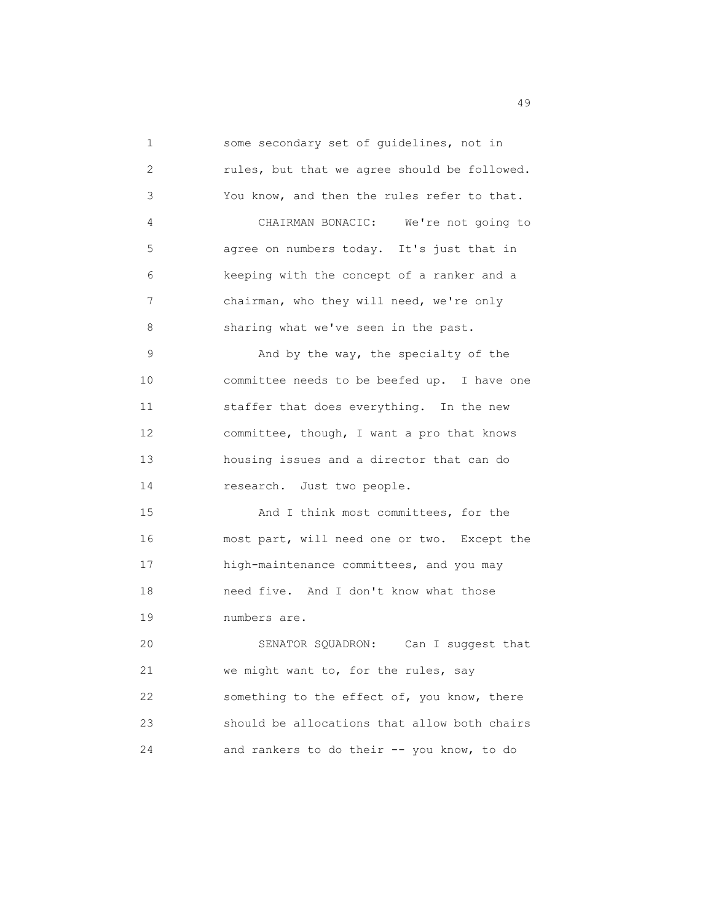1 some secondary set of guidelines, not in 2 rules, but that we agree should be followed. 3 You know, and then the rules refer to that. 4 CHAIRMAN BONACIC: We're not going to 5 agree on numbers today. It's just that in 6 keeping with the concept of a ranker and a 7 chairman, who they will need, we're only 8 sharing what we've seen in the past. 9 And by the way, the specialty of the 10 committee needs to be beefed up. I have one 11 staffer that does everything. In the new 12 committee, though, I want a pro that knows 13 housing issues and a director that can do 14 research. Just two people. 15 And I think most committees, for the 16 most part, will need one or two. Except the 17 high-maintenance committees, and you may 18 need five. And I don't know what those 19 numbers are. 20 SENATOR SQUADRON: Can I suggest that 21 we might want to, for the rules, say 22 something to the effect of, you know, there 23 should be allocations that allow both chairs 24 and rankers to do their -- you know, to do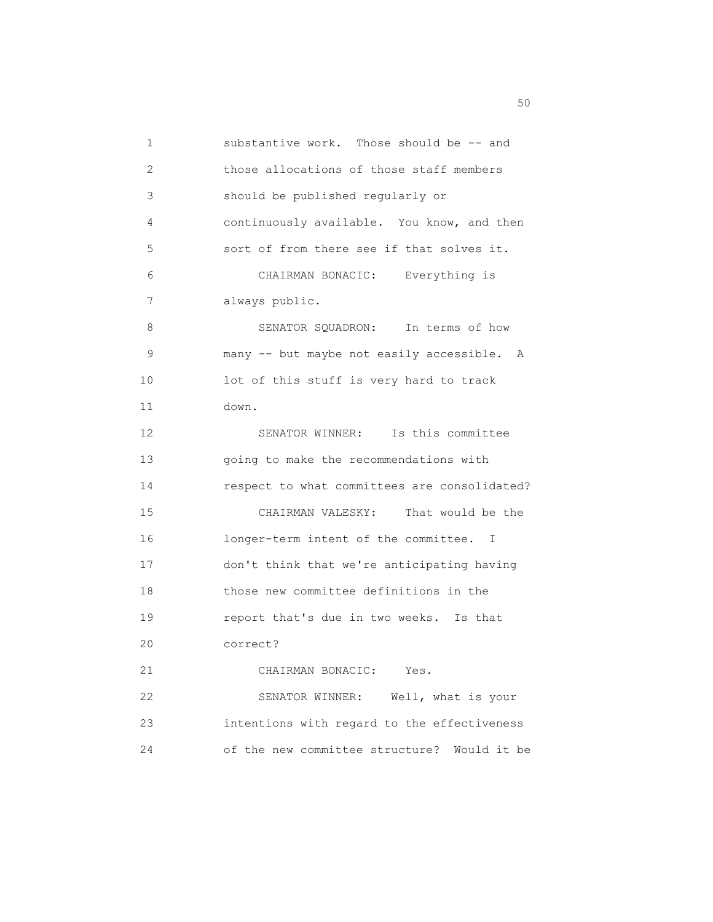1 substantive work. Those should be -- and 2 those allocations of those staff members 3 should be published regularly or 4 continuously available. You know, and then 5 sort of from there see if that solves it. 6 CHAIRMAN BONACIC: Everything is 7 always public. 8 SENATOR SQUADRON: In terms of how 9 many -- but maybe not easily accessible. A 10 lot of this stuff is very hard to track 11 down. 12 SENATOR WINNER: Is this committee 13 going to make the recommendations with 14 respect to what committees are consolidated? 15 CHAIRMAN VALESKY: That would be the 16 longer-term intent of the committee. I 17 don't think that we're anticipating having 18 those new committee definitions in the 19 report that's due in two weeks. Is that 20 correct? 21 CHAIRMAN BONACIC: Yes. 22 SENATOR WINNER: Well, what is your 23 intentions with regard to the effectiveness 24 of the new committee structure? Would it be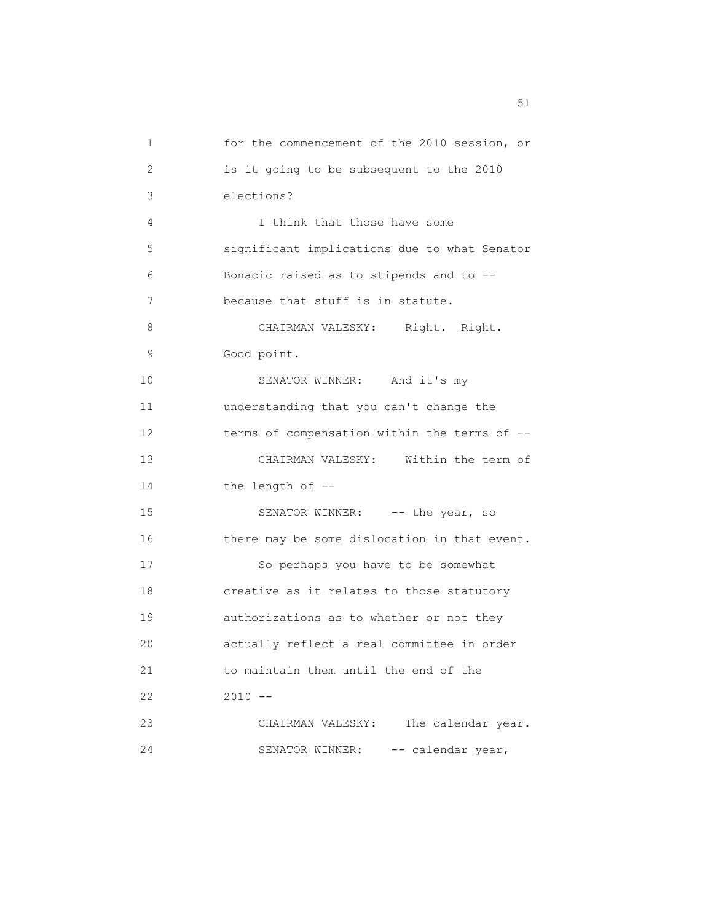1 for the commencement of the 2010 session, or 2 is it going to be subsequent to the 2010 3 elections? 4 I think that those have some 5 significant implications due to what Senator 6 Bonacic raised as to stipends and to -- 7 because that stuff is in statute. 8 CHAIRMAN VALESKY: Right. Right. 9 Good point. 10 SENATOR WINNER: And it's my 11 understanding that you can't change the 12 terms of compensation within the terms of -- 13 CHAIRMAN VALESKY: Within the term of 14 the length of -- 15 SENATOR WINNER: -- the year, so 16 there may be some dislocation in that event. 17 So perhaps you have to be somewhat 18 creative as it relates to those statutory 19 authorizations as to whether or not they 20 actually reflect a real committee in order 21 to maintain them until the end of the 22 2010 -- 23 CHAIRMAN VALESKY: The calendar year. 24 SENATOR WINNER: -- calendar year,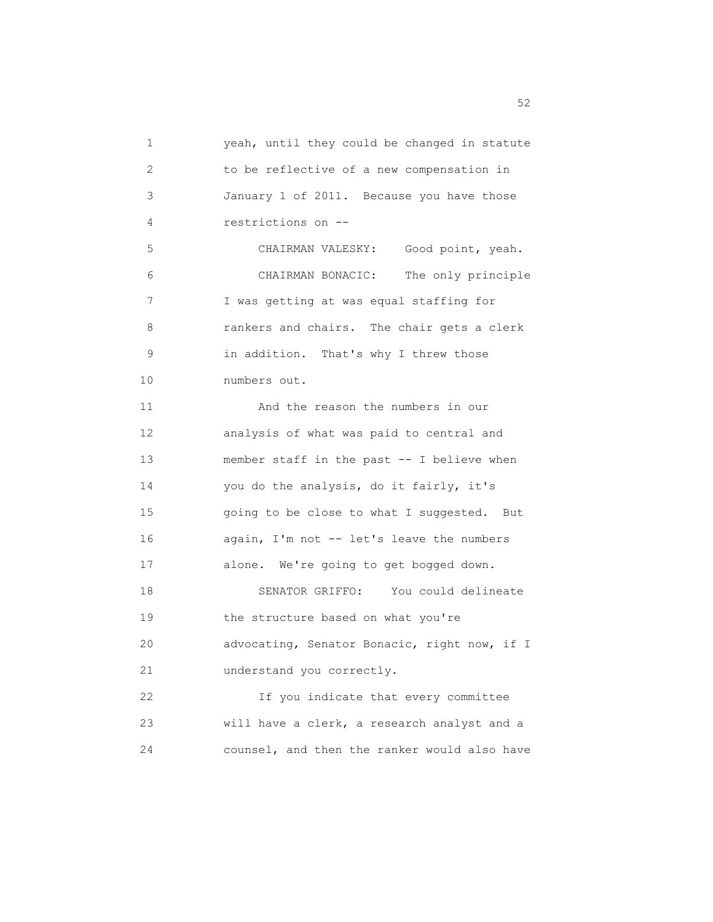1 yeah, until they could be changed in statute 2 to be reflective of a new compensation in 3 January 1 of 2011. Because you have those 4 restrictions on -- 5 CHAIRMAN VALESKY: Good point, yeah. 6 CHAIRMAN BONACIC: The only principle 7 I was getting at was equal staffing for 8 rankers and chairs. The chair gets a clerk 9 in addition. That's why I threw those 10 numbers out. 11 And the reason the numbers in our 12 analysis of what was paid to central and 13 member staff in the past -- I believe when 14 you do the analysis, do it fairly, it's 15 going to be close to what I suggested. But 16 again, I'm not -- let's leave the numbers 17 alone. We're going to get bogged down. 18 SENATOR GRIFFO: You could delineate 19 the structure based on what you're 20 advocating, Senator Bonacic, right now, if I 21 understand you correctly. 22 If you indicate that every committee 23 will have a clerk, a research analyst and a 24 counsel, and then the ranker would also have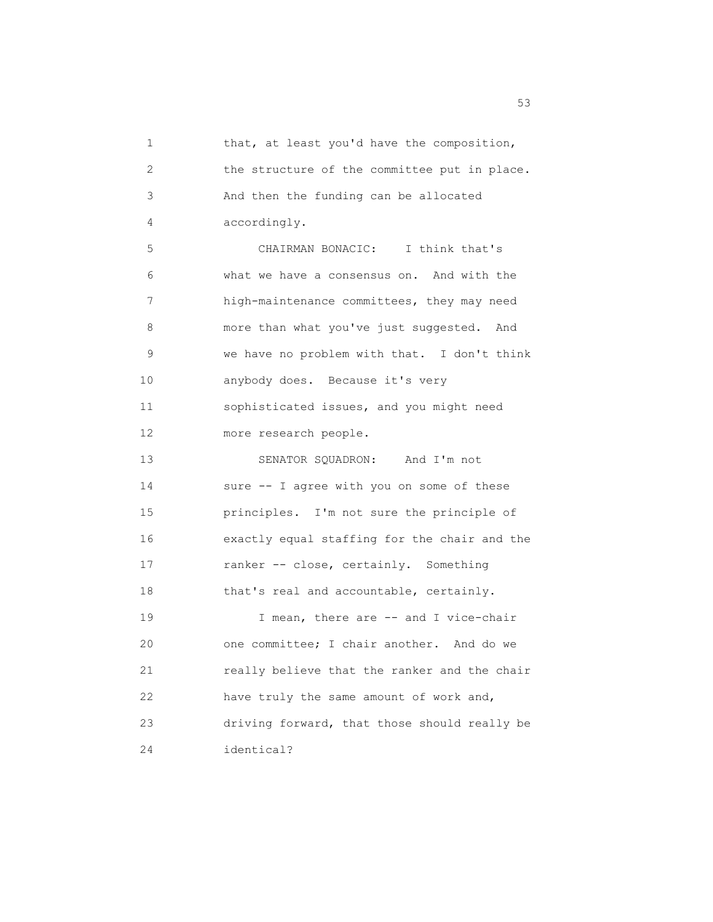1 that, at least you'd have the composition, 2 the structure of the committee put in place. 3 And then the funding can be allocated 4 accordingly. 5 CHAIRMAN BONACIC: I think that's 6 what we have a consensus on. And with the 7 high-maintenance committees, they may need 8 more than what you've just suggested. And 9 we have no problem with that. I don't think 10 anybody does. Because it's very 11 sophisticated issues, and you might need 12 more research people. 13 SENATOR SQUADRON: And I'm not 14 sure -- I agree with you on some of these 15 principles. I'm not sure the principle of 16 exactly equal staffing for the chair and the 17 ranker -- close, certainly. Something 18 that's real and accountable, certainly. 19 I mean, there are -- and I vice-chair 20 one committee; I chair another. And do we 21 really believe that the ranker and the chair 22 have truly the same amount of work and, 23 driving forward, that those should really be 24 identical?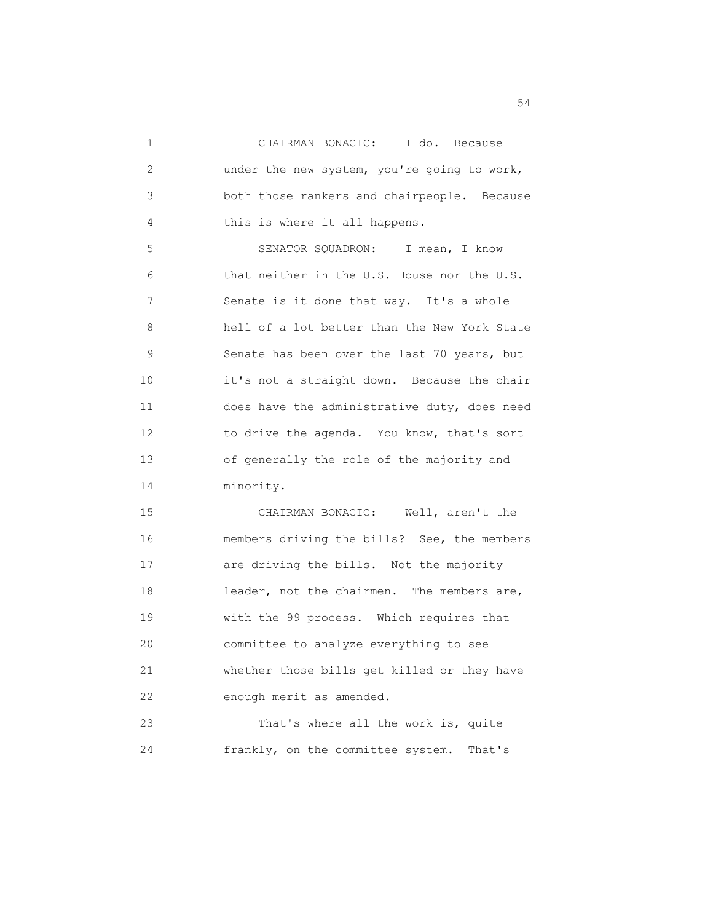1 CHAIRMAN BONACIC: I do. Because 2 under the new system, you're going to work, 3 both those rankers and chairpeople. Because 4 this is where it all happens. 5 SENATOR SQUADRON: I mean, I know 6 that neither in the U.S. House nor the U.S. 7 Senate is it done that way. It's a whole 8 hell of a lot better than the New York State 9 Senate has been over the last 70 years, but 10 it's not a straight down. Because the chair 11 does have the administrative duty, does need 12 to drive the agenda. You know, that's sort 13 of generally the role of the majority and

14 minority.

 15 CHAIRMAN BONACIC: Well, aren't the 16 members driving the bills? See, the members 17 **are driving the bills.** Not the majority 18 leader, not the chairmen. The members are, 19 with the 99 process. Which requires that 20 committee to analyze everything to see 21 whether those bills get killed or they have 22 enough merit as amended.

 23 That's where all the work is, quite 24 frankly, on the committee system. That's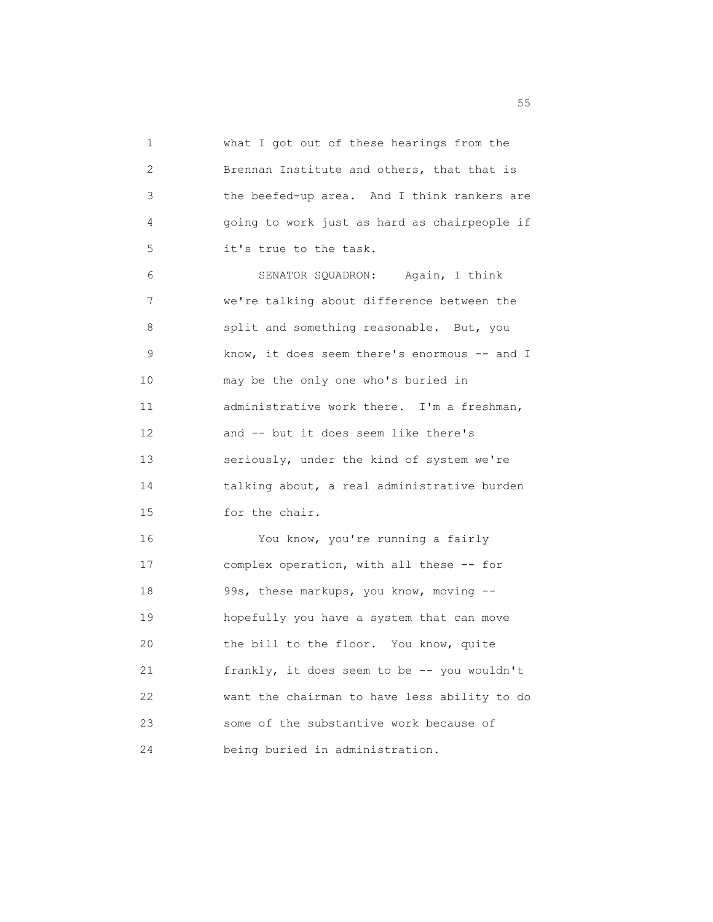1 what I got out of these hearings from the 2 Brennan Institute and others, that that is 3 the beefed-up area. And I think rankers are 4 going to work just as hard as chairpeople if 5 it's true to the task. 6 SENATOR SQUADRON: Again, I think 7 we're talking about difference between the 8 split and something reasonable. But, you 9 know, it does seem there's enormous -- and I 10 may be the only one who's buried in 11 administrative work there. I'm a freshman, 12 and -- but it does seem like there's 13 seriously, under the kind of system we're 14 talking about, a real administrative burden 15 for the chair. 16 You know, you're running a fairly 17 complex operation, with all these -- for 18 99s, these markups, you know, moving -- 19 hopefully you have a system that can move 20 the bill to the floor. You know, quite 21 frankly, it does seem to be -- you wouldn't 22 want the chairman to have less ability to do 23 some of the substantive work because of 24 being buried in administration.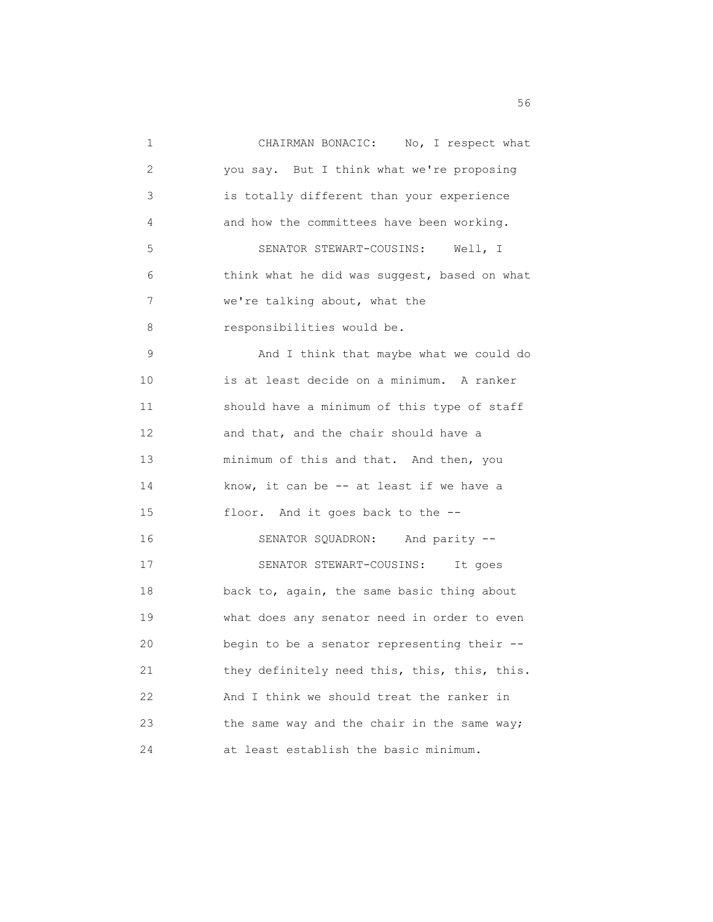1 CHAIRMAN BONACIC: No, I respect what 2 you say. But I think what we're proposing 3 is totally different than your experience 4 and how the committees have been working. 5 SENATOR STEWART-COUSINS: Well, I 6 think what he did was suggest, based on what 7 we're talking about, what the 8 responsibilities would be. 9 And I think that maybe what we could do 10 is at least decide on a minimum. A ranker 11 should have a minimum of this type of staff 12 and that, and the chair should have a 13 minimum of this and that. And then, you 14 know, it can be -- at least if we have a 15 floor. And it goes back to the -- 16 SENATOR SQUADRON: And parity -- 17 SENATOR STEWART-COUSINS: It goes 18 back to, again, the same basic thing about 19 what does any senator need in order to even 20 begin to be a senator representing their -- 21 they definitely need this, this, this, this. 22 And I think we should treat the ranker in 23 the same way and the chair in the same way; 24 at least establish the basic minimum.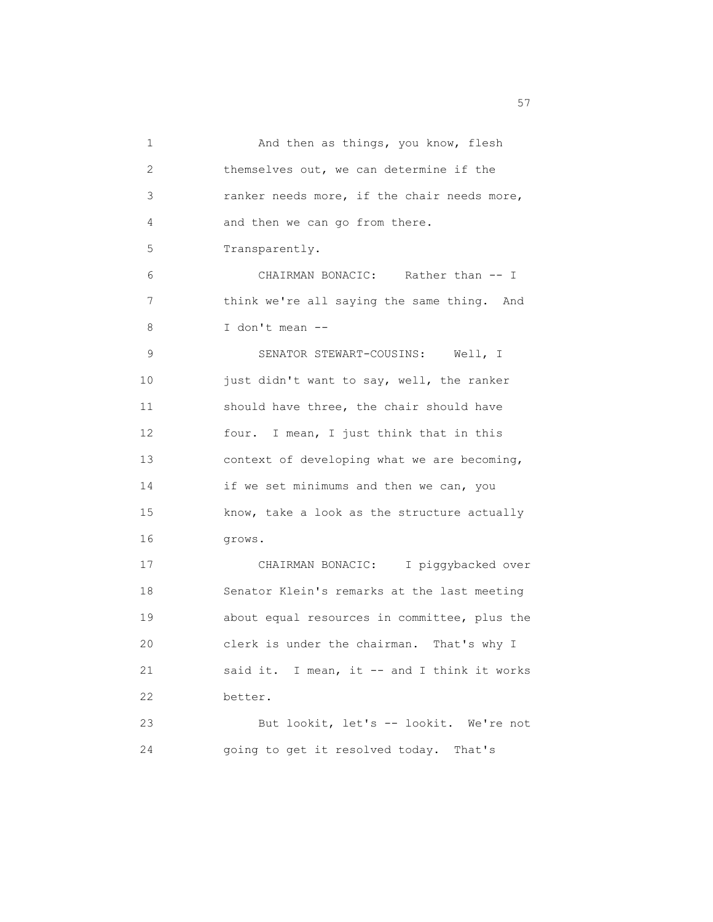| 1  | And then as things, you know, flesh          |
|----|----------------------------------------------|
| 2  | themselves out, we can determine if the      |
| 3  | ranker needs more, if the chair needs more,  |
| 4  | and then we can go from there.               |
| 5  | Transparently.                               |
| 6  | CHAIRMAN BONACIC: Rather than -- I           |
| 7  | think we're all saying the same thing. And   |
| 8  | I don't mean --                              |
| 9  | SENATOR STEWART-COUSINS: Well, I             |
| 10 | just didn't want to say, well, the ranker    |
| 11 | should have three, the chair should have     |
| 12 | four. I mean, I just think that in this      |
| 13 | context of developing what we are becoming,  |
| 14 | if we set minimums and then we can, you      |
| 15 | know, take a look as the structure actually  |
| 16 | grows.                                       |
| 17 | CHAIRMAN BONACIC: I piggybacked over         |
| 18 | Senator Klein's remarks at the last meeting  |
| 19 | about equal resources in committee, plus the |
| 20 | clerk is under the chairman. That's why I    |
| 21 | said it. I mean, it -- and I think it works  |
| 22 | better.                                      |
| 23 | But lookit, let's -- lookit. We're not       |
| 24 | going to get it resolved today. That's       |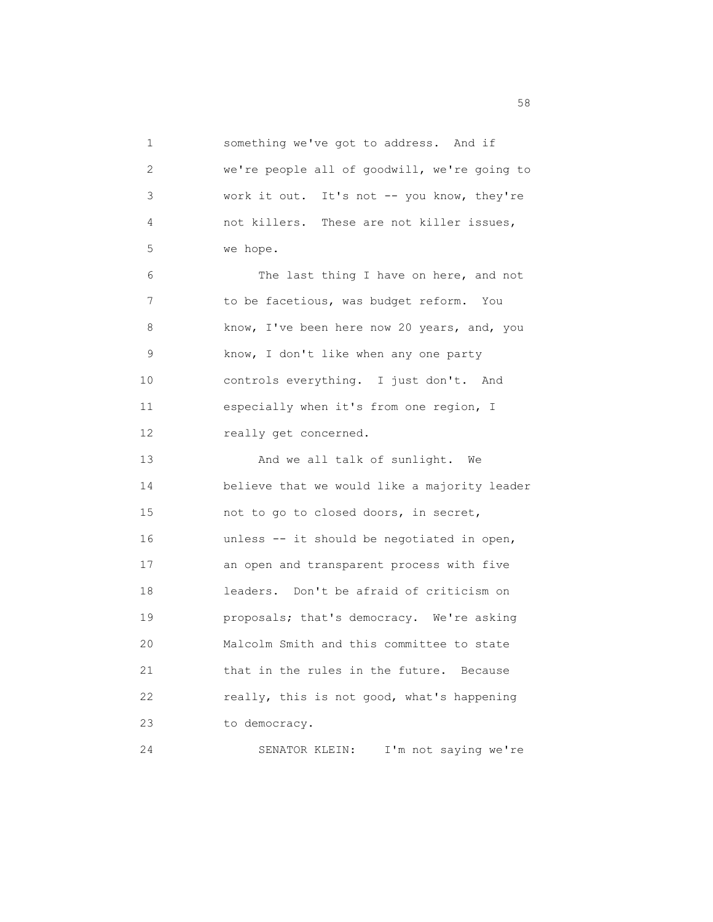1 something we've got to address. And if 2 we're people all of goodwill, we're going to 3 work it out. It's not -- you know, they're 4 not killers. These are not killer issues, 5 we hope. 6 The last thing I have on here, and not 7 to be facetious, was budget reform. You 8 know, I've been here now 20 years, and, you 9 know, I don't like when any one party 10 controls everything. I just don't. And 11 especially when it's from one region, I 12 really get concerned. 13 And we all talk of sunlight. We 14 believe that we would like a majority leader 15 not to go to closed doors, in secret, 16 unless -- it should be negotiated in open, 17 an open and transparent process with five 18 leaders. Don't be afraid of criticism on 19 proposals; that's democracy. We're asking 20 Malcolm Smith and this committee to state 21 that in the rules in the future. Because 22 really, this is not good, what's happening 23 to democracy. 24 SENATOR KLEIN: I'm not saying we're

the state of the state of the state of the state of the state of the state of the state of the state of the state of the state of the state of the state of the state of the state of the state of the state of the state of t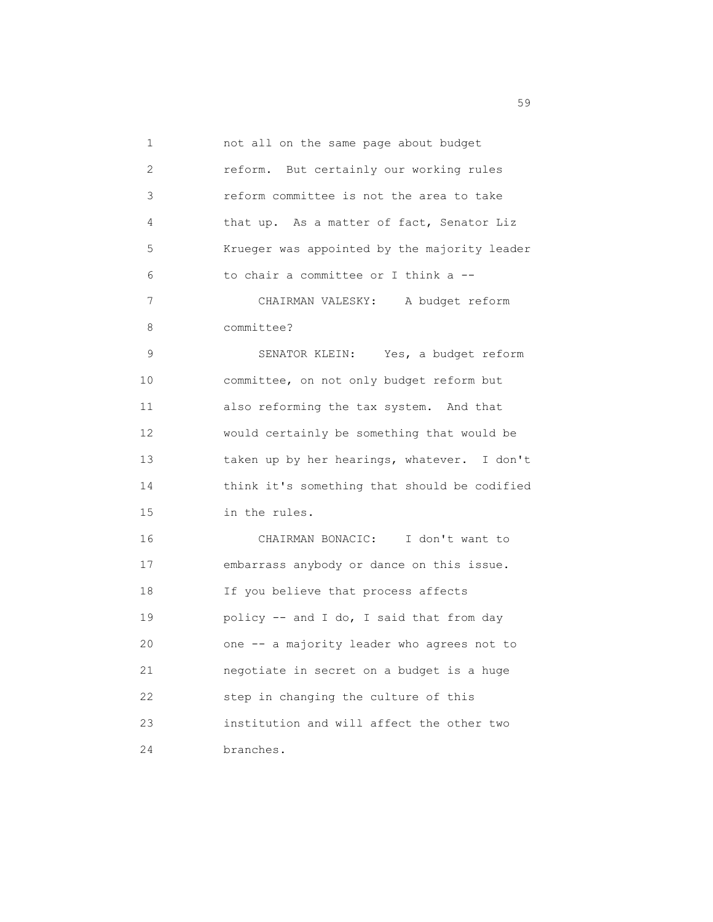| 1  | not all on the same page about budget        |
|----|----------------------------------------------|
| 2  | reform. But certainly our working rules      |
| 3  | reform committee is not the area to take     |
| 4  | that up. As a matter of fact, Senator Liz    |
| 5  | Krueger was appointed by the majority leader |
| 6  | to chair a committee or I think a --         |
| 7  | CHAIRMAN VALESKY: A budget reform            |
| 8  | committee?                                   |
| 9  | SENATOR KLEIN: Yes, a budget reform          |
| 10 | committee, on not only budget reform but     |
| 11 | also reforming the tax system. And that      |
| 12 | would certainly be something that would be   |
| 13 | taken up by her hearings, whatever. I don't  |
| 14 | think it's something that should be codified |
| 15 | in the rules.                                |
| 16 | CHAIRMAN BONACIC: I don't want to            |
| 17 | embarrass anybody or dance on this issue.    |
| 18 | If you believe that process affects          |
| 19 | policy -- and I do, I said that from day     |
| 20 | one -- a majority leader who agrees not to   |
| 21 | negotiate in secret on a budget is a huge    |
| 22 | step in changing the culture of this         |
| 23 | institution and will affect the other two    |
| 24 | branches.                                    |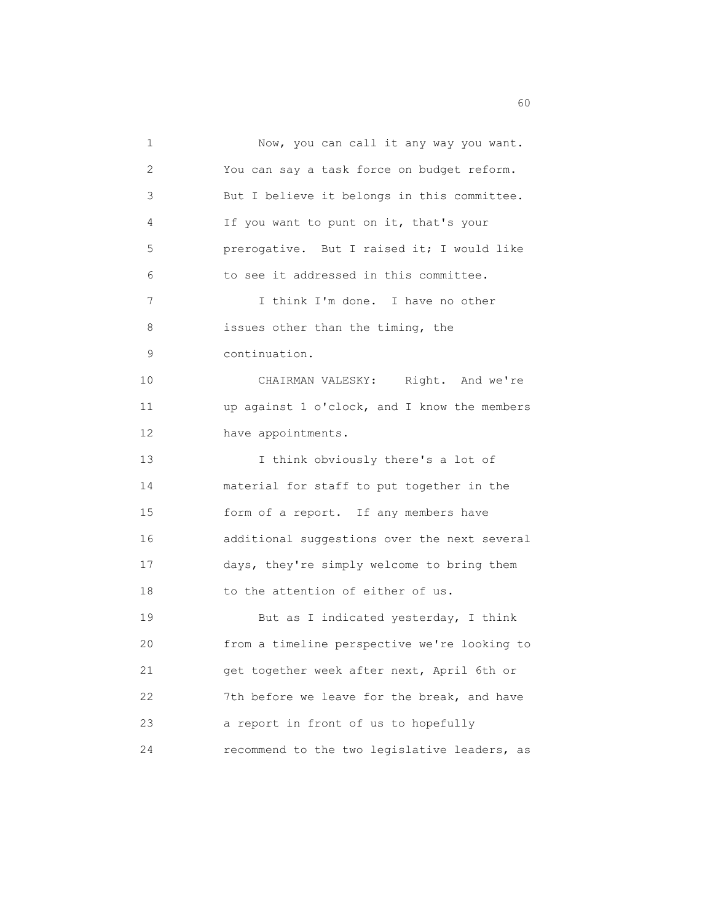1 Now, you can call it any way you want. 2 You can say a task force on budget reform. 3 But I believe it belongs in this committee. 4 If you want to punt on it, that's your 5 prerogative. But I raised it; I would like 6 to see it addressed in this committee. 7 I think I'm done. I have no other 8 issues other than the timing, the 9 continuation. 10 CHAIRMAN VALESKY: Right. And we're 11 up against 1 o'clock, and I know the members 12 have appointments. 13 I think obviously there's a lot of 14 material for staff to put together in the 15 form of a report. If any members have 16 additional suggestions over the next several 17 days, they're simply welcome to bring them 18 to the attention of either of us. 19 But as I indicated yesterday, I think 20 from a timeline perspective we're looking to 21 get together week after next, April 6th or 22 7th before we leave for the break, and have 23 a report in front of us to hopefully 24 recommend to the two legislative leaders, as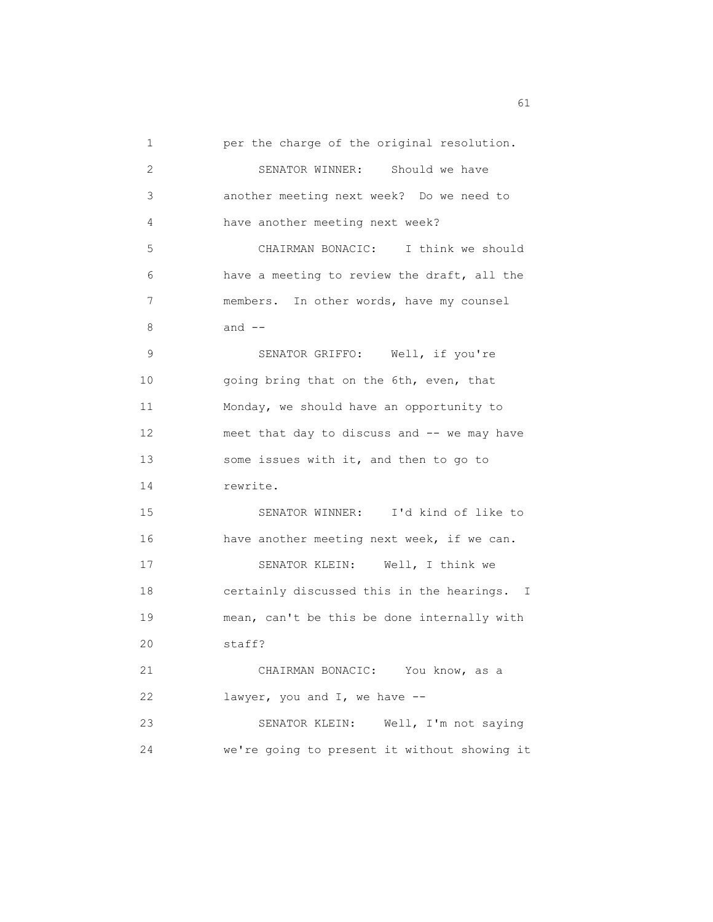1 per the charge of the original resolution. 2 SENATOR WINNER: Should we have 3 another meeting next week? Do we need to 4 have another meeting next week? 5 CHAIRMAN BONACIC: I think we should 6 have a meeting to review the draft, all the 7 members. In other words, have my counsel 8 and -- 9 SENATOR GRIFFO: Well, if you're 10 going bring that on the 6th, even, that 11 Monday, we should have an opportunity to 12 meet that day to discuss and -- we may have 13 some issues with it, and then to go to 14 rewrite. 15 SENATOR WINNER: I'd kind of like to 16 have another meeting next week, if we can. 17 SENATOR KLEIN: Well, I think we 18 certainly discussed this in the hearings. I 19 mean, can't be this be done internally with 20 staff? 21 CHAIRMAN BONACIC: You know, as a 22 lawyer, you and I, we have -- 23 SENATOR KLEIN: Well, I'm not saying 24 we're going to present it without showing it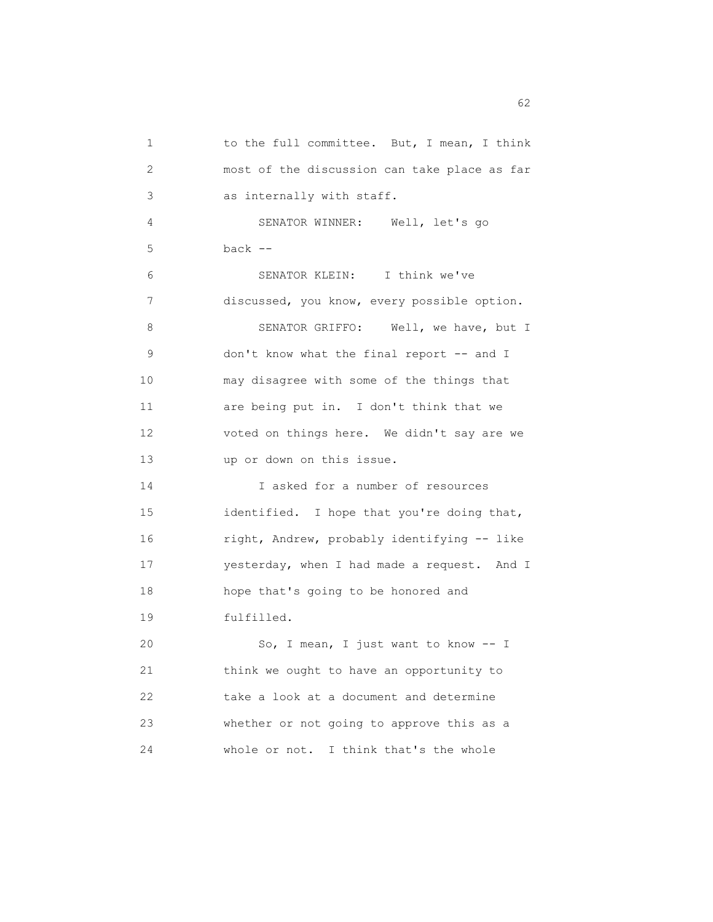| 1               | to the full committee. But, I mean, I think  |
|-----------------|----------------------------------------------|
| 2               | most of the discussion can take place as far |
| 3               | as internally with staff.                    |
| 4               | SENATOR WINNER: Well, let's go               |
| 5               | $back$ $--$                                  |
| 6               | SENATOR KLEIN: I think we've                 |
| 7               | discussed, you know, every possible option.  |
| 8               | SENATOR GRIFFO: Well, we have, but I         |
| 9               | don't know what the final report -- and I    |
| 10              | may disagree with some of the things that    |
| 11              | are being put in. I don't think that we      |
| 12 <sup>°</sup> | voted on things here. We didn't say are we   |
| 13              | up or down on this issue.                    |
| 14              | I asked for a number of resources            |
| 15              | identified. I hope that you're doing that,   |
| 16              | right, Andrew, probably identifying -- like  |
| 17              | yesterday, when I had made a request. And I  |
| 18              | hope that's going to be honored and          |
| 19              | fulfilled.                                   |
| 20              | So, I mean, I just want to know -- I         |
| 21              | think we ought to have an opportunity to     |
| 22              | take a look at a document and determine      |
| 23              | whether or not going to approve this as a    |
| 24              | whole or not.<br>I think that's the whole    |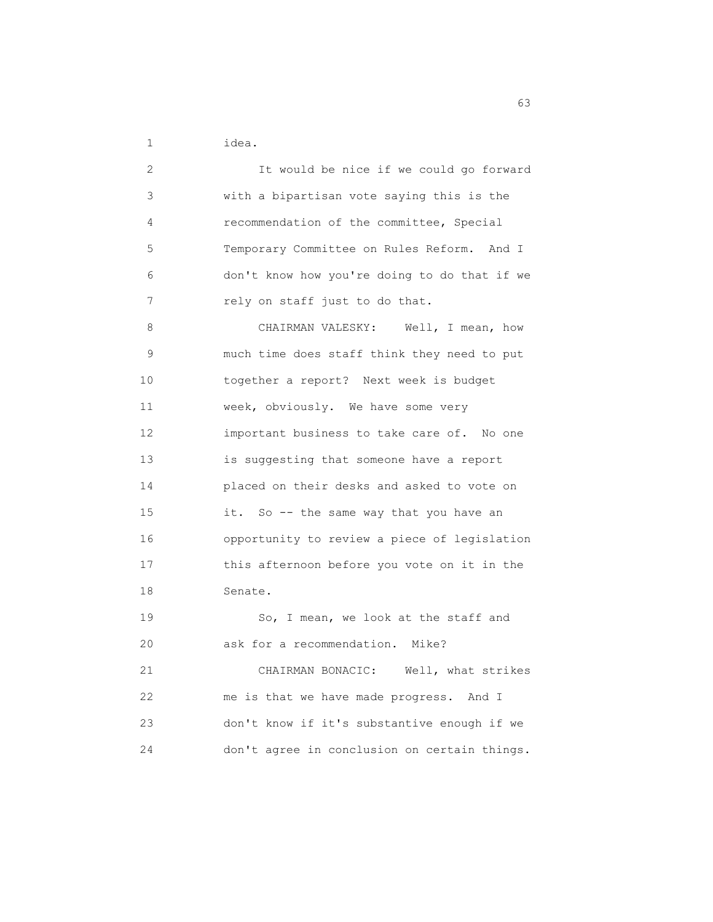1 idea.

 2 It would be nice if we could go forward 3 with a bipartisan vote saying this is the 4 recommendation of the committee, Special 5 Temporary Committee on Rules Reform. And I 6 don't know how you're doing to do that if we 7 rely on staff just to do that. 8 CHAIRMAN VALESKY: Well, I mean, how 9 much time does staff think they need to put 10 together a report? Next week is budget 11 week, obviously. We have some very 12 important business to take care of. No one 13 is suggesting that someone have a report 14 placed on their desks and asked to vote on 15 it. So -- the same way that you have an 16 opportunity to review a piece of legislation 17 this afternoon before you vote on it in the 18 Senate. 19 So, I mean, we look at the staff and 20 ask for a recommendation. Mike? 21 CHAIRMAN BONACIC: Well, what strikes 22 me is that we have made progress. And I 23 don't know if it's substantive enough if we 24 don't agree in conclusion on certain things.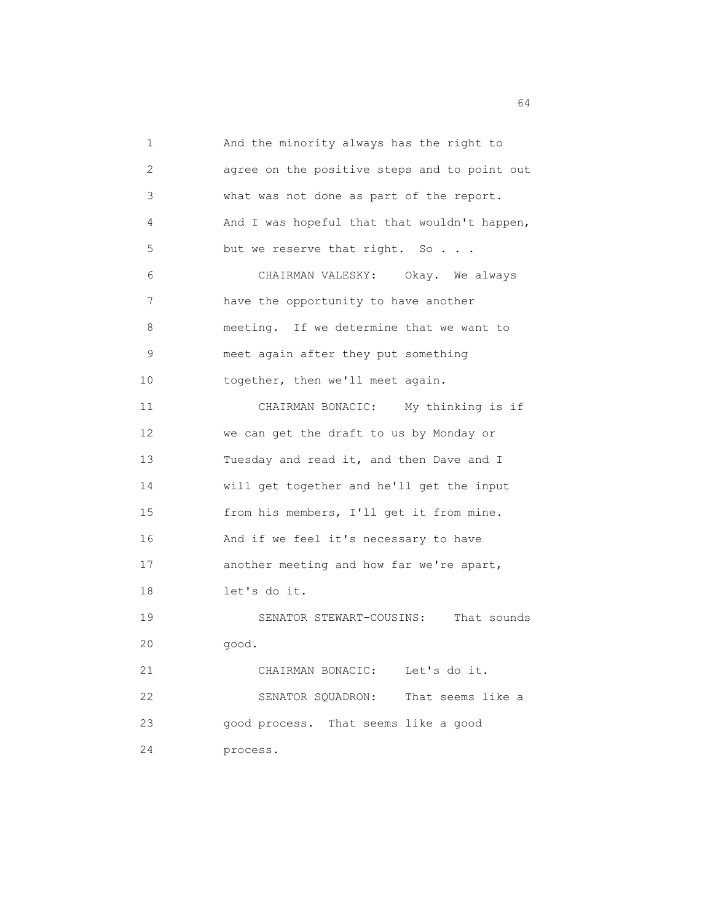1 And the minority always has the right to 2 agree on the positive steps and to point out 3 what was not done as part of the report. 4 And I was hopeful that that wouldn't happen, 5 but we reserve that right. So . . . 6 CHAIRMAN VALESKY: Okay. We always 7 have the opportunity to have another 8 meeting. If we determine that we want to 9 meet again after they put something 10 together, then we'll meet again. 11 CHAIRMAN BONACIC: My thinking is if 12 we can get the draft to us by Monday or 13 Tuesday and read it, and then Dave and I 14 will get together and he'll get the input 15 from his members, I'll get it from mine. 16 And if we feel it's necessary to have 17 another meeting and how far we're apart, 18 let's do it. 19 SENATOR STEWART-COUSINS: That sounds 20 good. 21 CHAIRMAN BONACIC: Let's do it. 22 SENATOR SQUADRON: That seems like a 23 good process. That seems like a good 24 process.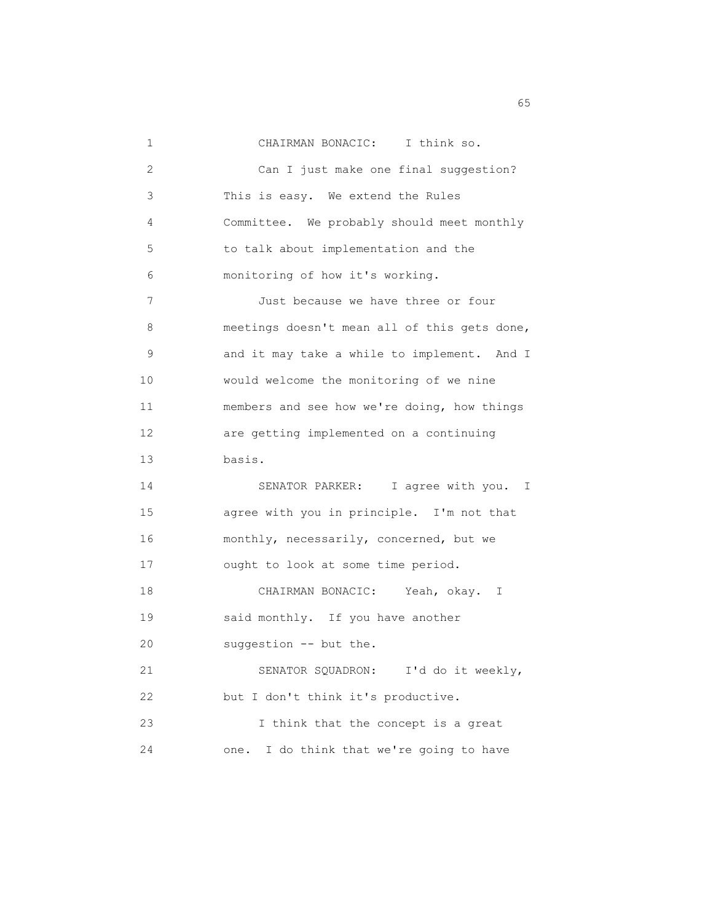| 1               | CHAIRMAN BONACIC: I think so.                |
|-----------------|----------------------------------------------|
| 2               | Can I just make one final suggestion?        |
| 3               | This is easy. We extend the Rules            |
| 4               | Committee. We probably should meet monthly   |
| 5               | to talk about implementation and the         |
| 6               | monitoring of how it's working.              |
| 7               | Just because we have three or four           |
| 8               | meetings doesn't mean all of this gets done, |
| 9               | and it may take a while to implement. And I  |
| 10              | would welcome the monitoring of we nine      |
| 11              | members and see how we're doing, how things  |
| 12 <sup>°</sup> | are getting implemented on a continuing      |
| 13              | basis.                                       |
| 14              | SENATOR PARKER: I agree with you. I          |
| 15              | agree with you in principle. I'm not that    |
| 16              | monthly, necessarily, concerned, but we      |
| 17              | ought to look at some time period.           |
| 18              | CHAIRMAN BONACIC: Yeah, okay. I              |
| 19              | said monthly. If you have another            |
| 20              | suggestion -- but the.                       |
| 21              | SENATOR SQUADRON:<br>I'd do it weekly,       |
| 22              | but I don't think it's productive.           |
| 23              | I think that the concept is a great          |
| 24              | I do think that we're going to have<br>one.  |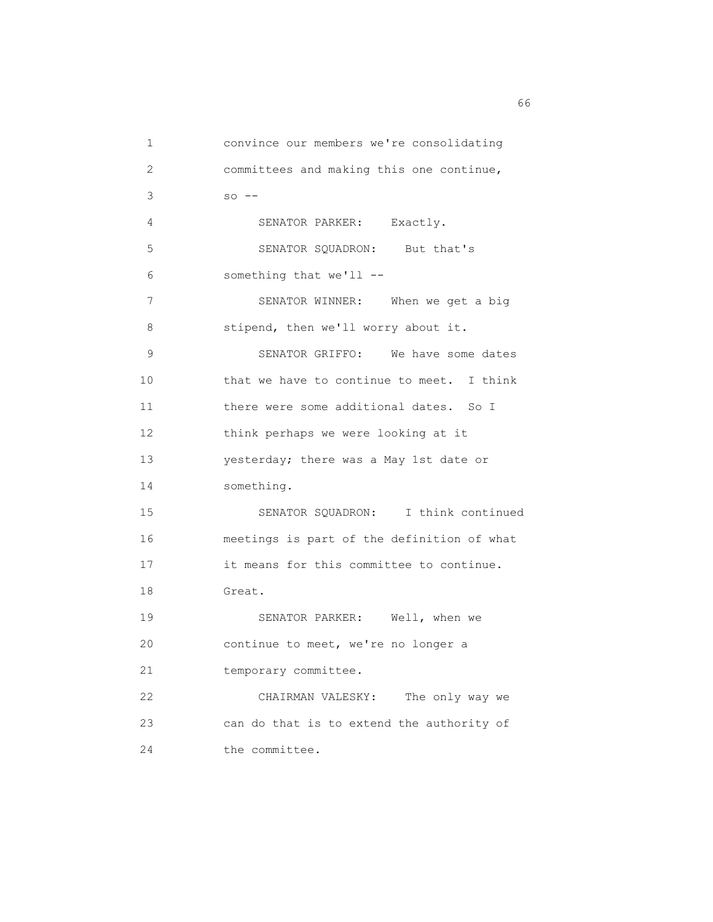1 convince our members we're consolidating 2 committees and making this one continue,  $3 \quad so --$  4 SENATOR PARKER: Exactly. 5 SENATOR SQUADRON: But that's 6 something that we'll -- 7 SENATOR WINNER: When we get a big 8 stipend, then we'll worry about it. 9 SENATOR GRIFFO: We have some dates 10 that we have to continue to meet. I think 11 there were some additional dates. So I 12 think perhaps we were looking at it 13 yesterday; there was a May 1st date or 14 something. 15 SENATOR SQUADRON: I think continued 16 meetings is part of the definition of what 17 it means for this committee to continue. 18 Great. 19 SENATOR PARKER: Well, when we 20 continue to meet, we're no longer a 21 temporary committee. 22 CHAIRMAN VALESKY: The only way we 23 can do that is to extend the authority of 24 the committee.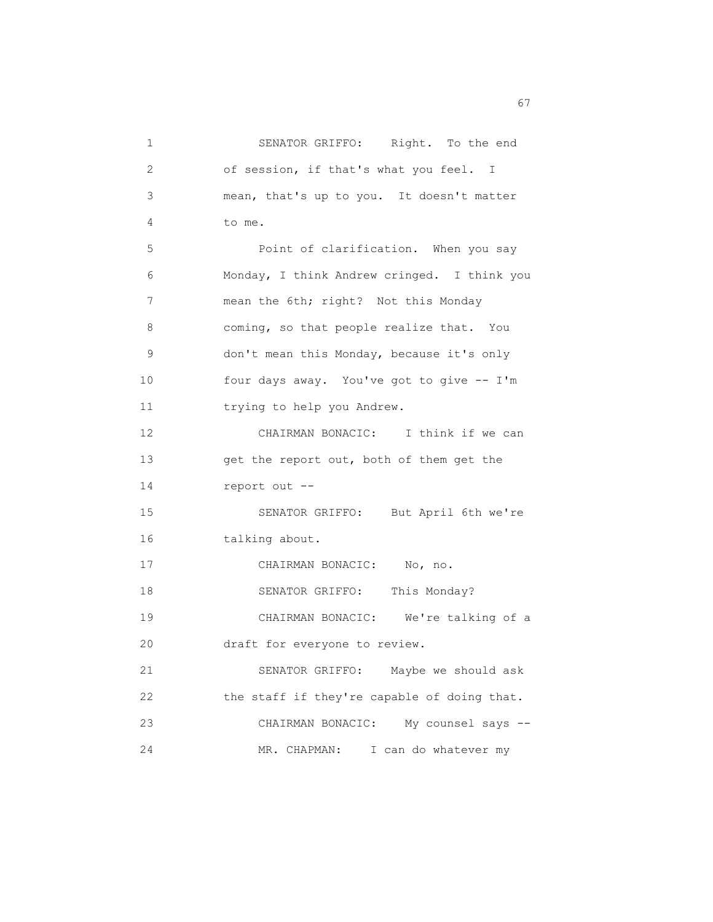1 SENATOR GRIFFO: Right. To the end 2 of session, if that's what you feel. I 3 mean, that's up to you. It doesn't matter 4 to me. 5 Point of clarification. When you say 6 Monday, I think Andrew cringed. I think you 7 mean the 6th; right? Not this Monday 8 coming, so that people realize that. You 9 don't mean this Monday, because it's only 10 four days away. You've got to give -- I'm 11 trying to help you Andrew. 12 CHAIRMAN BONACIC: I think if we can 13 get the report out, both of them get the 14 report out -- 15 SENATOR GRIFFO: But April 6th we're 16 talking about. 17 CHAIRMAN BONACIC: No, no. 18 SENATOR GRIFFO: This Monday? 19 CHAIRMAN BONACIC: We're talking of a 20 draft for everyone to review. 21 SENATOR GRIFFO: Maybe we should ask 22 the staff if they're capable of doing that. 23 CHAIRMAN BONACIC: My counsel says -- 24 MR. CHAPMAN: I can do whatever my